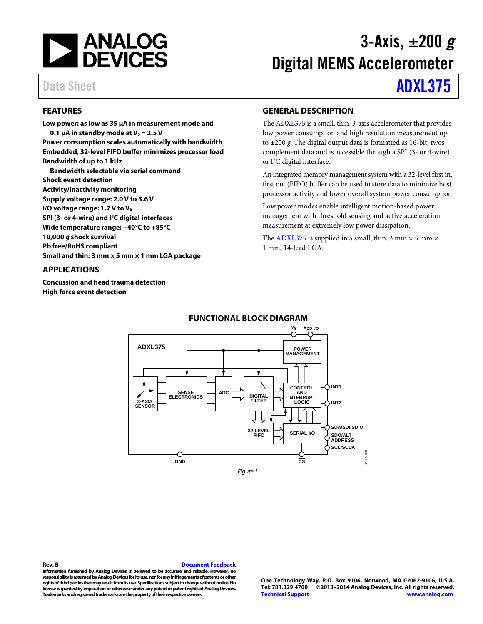

# 3-Axis, ±200 *g* Digital MEMS Accelerometer

# Data Sheet **[ADXL375](http://www.analog.com/ADXL375?doc=ADXL375.pdf)**

# <span id="page-0-0"></span>**FEATURES**

**Low power: as low as 35 µA in measurement mode and 0.1**  $\mu$ A in standby mode at  $V_s = 2.5$  V **Power consumption scales automatically with bandwidth Embedded, 32-level FIFO buffer minimizes processor load Bandwidth of up to 1 kHz Bandwidth selectable via serial command Shock event detection Activity/inactivity monitoring Supply voltage range: 2.0 V to 3.6 V I/O voltage range: 1.7 V to Vs SPI (3- or 4-wire) and I2C digital interfaces Wide temperature range: −40°C to +85°C 10,000** *g* **shock survival Pb free/RoHS compliant**

**Small and thin: 3 mm × 5 mm × 1 mm LGA package**

# <span id="page-0-1"></span>**APPLICATIONS**

<span id="page-0-3"></span>**Concussion and head trauma detection High force event detection**

# <span id="page-0-2"></span>**GENERAL DESCRIPTION**

Th[e ADXL375](http://www.analog.com/ADXL375?doc=ADXL375.pdf) is a small, thin, 3-axis accelerometer that provides low power consumption and high resolution measurement up to ±200 *g*. The digital output data is formatted as 16-bit, twos complement data and is accessible through a SPI (3- or 4-wire) or I<sup>2</sup>C digital interface.

An integrated memory management system with a 32-level first in, first out (FIFO) buffer can be used to store data to minimize host processor activity and lower overall system power consumption.

Low power modes enable intelligent motion-based power management with threshold sensing and active acceleration measurement at extremely low power dissipation.

The [ADXL375](http://www.analog.com/ADXL375?doc=ADXL375.pdf) is supplied in a small, thin, 3 mm  $\times$  5 mm  $\times$ 1 mm, 14-lead LGA.



# **FUNCTIONAL BLOCK DIAGRAM**

**Rev. B [Document Feedback](https://form.analog.com/Form_Pages/feedback/documentfeedback.aspx?doc=ADXL375.pdf&product=ADXL375&rev=B) Information furnished by Analog Devices is believed to be accurate and reliable. However, no responsibility is assumed by Analog Devices for its use, nor for any infringements of patents or other rights of third parties that mayresult from its use. Specifications subject to change without notice. No license is granted by implication or otherwise under any patent or patent rights of Analog Devices. Trademarks and registered trademarks are the property of their respective owners.**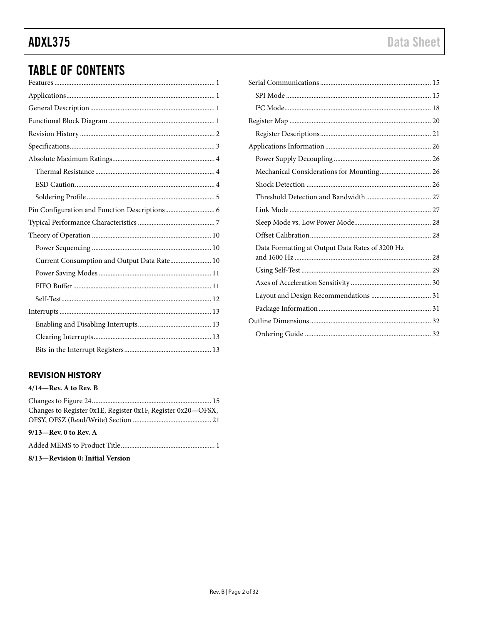# **ADXL375**

# **TABLE OF CONTENTS**

| Current Consumption and Output Data Rate 10 |
|---------------------------------------------|
|                                             |
|                                             |
|                                             |
|                                             |
|                                             |
|                                             |
|                                             |

# <span id="page-1-0"></span>**REVISION HISTORY**

#### $4/14$ –Rev. A to Rev. B

| Changes to Register 0x1E, Register 0x1F, Register 0x20-OFSX, |
|--------------------------------------------------------------|
|                                                              |
|                                                              |
|                                                              |
|                                                              |

8/13-Revision 0: Initial Version

| Mechanical Considerations for Mounting 26 |
|-------------------------------------------|
|                                           |
|                                           |
|                                           |
|                                           |
|                                           |
|                                           |
|                                           |
|                                           |
|                                           |
|                                           |
|                                           |
|                                           |
|                                           |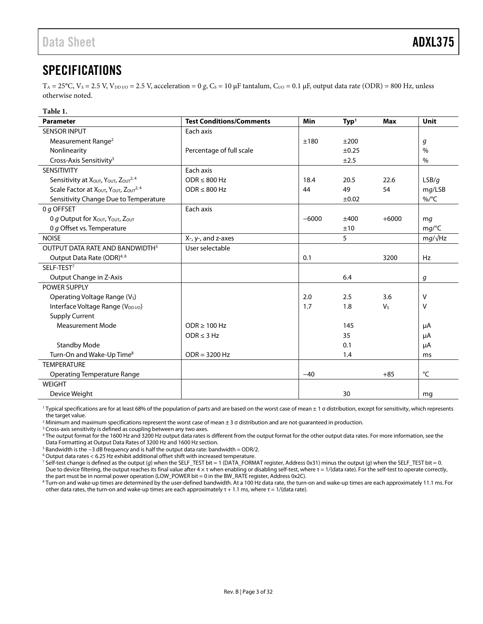# <span id="page-2-0"></span>SPECIFICATIONS

 $T_A = 25^{\circ}$ C,  $V_s = 2.5$  V,  $V_{\text{DDIO}} = 2.5$  V, acceleration = 0 *g*,  $C_s = 10 \mu$ F tantalum,  $C_{\text{IO}} = 0.1 \mu$ F, output data rate (ODR) = 800 Hz, unless otherwise noted.

<span id="page-2-1"></span>

| Table 1.                                                                               |                                 |         |                  |                |                |
|----------------------------------------------------------------------------------------|---------------------------------|---------|------------------|----------------|----------------|
| <b>Parameter</b>                                                                       | <b>Test Conditions/Comments</b> | Min     | Typ <sup>1</sup> | Max            | <b>Unit</b>    |
| <b>SENSOR INPUT</b>                                                                    | Each axis                       |         |                  |                |                |
| Measurement Range <sup>2</sup>                                                         |                                 | ±180    | ±200             |                | g              |
| Nonlinearity                                                                           | Percentage of full scale        |         | $\pm 0.25$       |                | $\%$           |
| Cross-Axis Sensitivity <sup>3</sup>                                                    |                                 |         | ±2.5             |                | $\%$           |
| SENSITIVITY                                                                            | Each axis                       |         |                  |                |                |
| Sensitivity at XOUT, YOUT, ZOUT <sup>2, 4</sup>                                        | $ODR \leq 800 Hz$               | 18.4    | 20.5             | 22.6           | LSB/g          |
| Scale Factor at X <sub>OUT</sub> , Y <sub>OUT</sub> , Z <sub>OUT</sub> <sup>2, 4</sup> | $ODR \leq 800 Hz$               | 44      | 49               | 54             | mg/LSB         |
| Sensitivity Change Due to Temperature                                                  |                                 |         | ±0.02            |                | $\%$ /°C       |
| 0 g OFFSET                                                                             | Each axis                       |         |                  |                |                |
| O g Output for XOUT, YOUT, ZOUT                                                        |                                 | $-6000$ | ±400             | $+6000$        | mq             |
| 0 g Offset vs. Temperature                                                             |                                 |         | ±10              |                | mg/C           |
| <b>NOISE</b>                                                                           | X-, y-, and z-axes              |         | 5                |                | $mg/\sqrt{Hz}$ |
| OUTPUT DATA RATE AND BANDWIDTH <sup>5</sup>                                            | User selectable                 |         |                  |                |                |
| Output Data Rate (ODR) <sup>4,6</sup>                                                  |                                 | 0.1     |                  | 3200           | Hz             |
| SELF-TEST <sup>7</sup>                                                                 |                                 |         |                  |                |                |
| Output Change in Z-Axis                                                                |                                 |         | 6.4              |                | g              |
| <b>POWER SUPPLY</b>                                                                    |                                 |         |                  |                |                |
| Operating Voltage Range (V <sub>s</sub> )                                              |                                 | 2.0     | 2.5              | 3.6            | $\vee$         |
| Interface Voltage Range (V <sub>DDI/O</sub> )                                          |                                 | 1.7     | 1.8              | V <sub>S</sub> | V              |
| <b>Supply Current</b>                                                                  |                                 |         |                  |                |                |
| <b>Measurement Mode</b>                                                                | $ODR \ge 100 Hz$                |         | 145              |                | μA             |
|                                                                                        | $ODR \leq 3 Hz$                 |         | 35               |                | μA             |
| <b>Standby Mode</b>                                                                    |                                 |         | 0.1              |                | μA             |
| Turn-On and Wake-Up Time <sup>8</sup>                                                  | $ODR = 3200 Hz$                 |         | 1.4              |                | ms             |
| <b>TEMPERATURE</b>                                                                     |                                 |         |                  |                |                |
| <b>Operating Temperature Range</b>                                                     |                                 | $-40$   |                  | $+85$          | °C             |
| <b>WEIGHT</b>                                                                          |                                 |         |                  |                |                |
| Device Weight                                                                          |                                 |         | 30               |                | mq             |

<sup>1</sup> Typical specifications are for at least 68% of the population of parts and are based on the worst case of mean ± 1 σ distribution, except for sensitivity, which represents the target value.

<sup>2</sup> Minimum and maximum specifications represent the worst case of mean ± 3 σ distribution and are not guaranteed in production.

<sup>3</sup> Cross-axis sensitivity is defined as coupling between any two axes.

<sup>4</sup> The output format for the 1600 Hz and 3200 Hz output data rates is different from the output format for the other output data rates. For more information, see the [Data Formatting at Output Data Rates of](#page-27-2) 3200 Hz and 1600 Hz section.

<sup>5</sup> Bandwidth is the −3 dB frequency and is half the output data rate: bandwidth = ODR/2.

<sup>6</sup> Output data rates < 6.25 Hz exhibit additional offset shift with increased temperature.

<sup>7</sup> Self-test change is defined as the output (*g*) when the SELF\_TEST bit = 1 (DATA\_FORMAT register, Address 0x31) minus the output (*g*) when the SELF\_TEST bit = 0. Due to device filtering, the output reaches its final value after  $4 \times \tau$  when enabling or disabling self-test, where  $\tau = 1/$ (data rate). For the self-test to operate correctly, the part must be in normal power operation (LOW\_POWER bit = 0 in the BW\_RATE register, Address 0x2C).

<sup>8</sup> Turn-on and wake-up times are determined by the user-defined bandwidth. At a 100 Hz data rate, the turn-on and wake-up times are each approximately 11.1 ms. For other data rates, the turn-on and wake-up times are each approximately  $\tau$  + 1.1 ms, where  $\tau$  = 1/(data rate).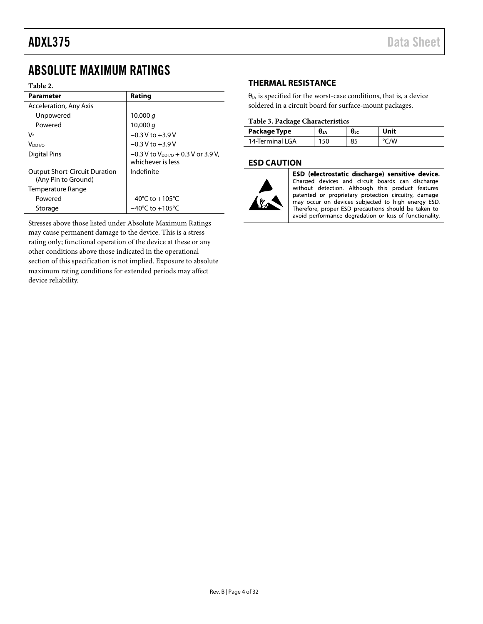# <span id="page-3-0"></span>ABSOLUTE MAXIMUM RATINGS

#### **Table 2.**

| <b>Parameter</b>                                            | Rating                                                                |
|-------------------------------------------------------------|-----------------------------------------------------------------------|
| Acceleration, Any Axis                                      |                                                                       |
| Unpowered                                                   | 10,000 $q$                                                            |
| Powered                                                     | 10,000 $q$                                                            |
| V٢                                                          | $-0.3$ V to $+3.9$ V                                                  |
| V <sub>DD I/O</sub>                                         | $-0.3 V$ to $+3.9 V$                                                  |
| Digital Pins                                                | $-0.3$ V to V <sub>DDI/0</sub> + 0.3 V or 3.9 V,<br>whichever is less |
| <b>Output Short-Circuit Duration</b><br>(Any Pin to Ground) | Indefinite                                                            |
| Temperature Range                                           |                                                                       |
| Powered                                                     | $-40^{\circ}$ C to $+105^{\circ}$ C                                   |
| Storage                                                     | $-40^{\circ}$ C to $+105^{\circ}$ C                                   |

Stresses above those listed under Absolute Maximum Ratings may cause permanent damage to the device. This is a stress rating only; functional operation of the device at these or any other conditions above those indicated in the operational section of this specification is not implied. Exposure to absolute maximum rating conditions for extended periods may affect device reliability.

## <span id="page-3-1"></span>**THERMAL RESISTANCE**

 $\theta_{JA}$  is specified for the worst-case conditions, that is, a device soldered in a circuit board for surface-mount packages.

### **Table 3. Package Characteristics**

| Package Type     | UJA | UJC | Jnit |
|------------------|-----|-----|------|
| 14-Terminal I GA |     |     | 'W   |

### <span id="page-3-2"></span>**ESD CAUTION**



ESD (electrostatic discharge) sensitive device. Charged devices and circuit boards can discharge without detection. Although this product features patented or proprietary protection circuitry, damage may occur on devices subjected to high energy ESD. Therefore, proper ESD precautions should be taken to avoid performance degradation or loss of functionality.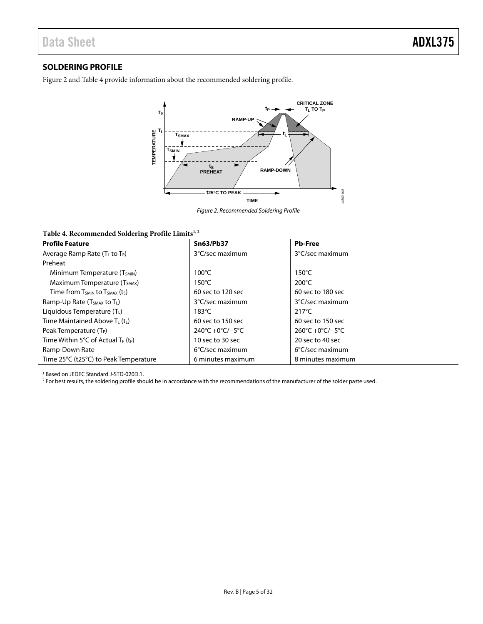# <span id="page-4-0"></span>**SOLDERING PROFILE**

[Figure 2](#page-4-1) an[d Table 4](#page-4-2) provide information about the recommended soldering profile.



*Figure 2. Recommended Soldering Profile*

#### <span id="page-4-2"></span><span id="page-4-1"></span>Table 4. Recommended Soldering Profile Limits<sup>1,2</sup>

| <b>Profile Feature</b>                                     | <b>Sn63/Pb37</b>  | <b>Pb-Free</b>            |
|------------------------------------------------------------|-------------------|---------------------------|
| Average Ramp Rate $(T_L$ to $T_P)$                         | 3°C/sec maximum   | 3°C/sec maximum           |
| Preheat                                                    |                   |                           |
| Minimum Temperature (T <sub>SMIN</sub> )                   | $100^{\circ}$ C   | $150^{\circ}$ C           |
| Maximum Temperature (T <sub>SMAX</sub> )                   | $150^{\circ}$ C   | $200^{\circ}$ C           |
| Time from $T_{SMIN}$ to $T_{SMAX}$ (ts)                    | 60 sec to 120 sec | 60 sec to 180 sec         |
| Ramp-Up Rate (T <sub>SMAX</sub> to T <sub>L</sub> )        | 3°C/sec maximum   | 3°C/sec maximum           |
| Liquidous Temperature (TL)                                 | $183^{\circ}$ C   | $217^{\circ}$ C           |
| Time Maintained Above $T_L(t_L)$                           | 60 sec to 150 sec | 60 sec to 150 sec         |
| Peak Temperature (T <sub>P</sub> )                         | 240°C +0°C/-5°C   | 260°C +0°C/-5°C           |
| Time Within 5°C of Actual T <sub>P</sub> (t <sub>P</sub> ) | 10 sec to 30 sec  | 20 sec to 40 sec          |
| Ramp-Down Rate                                             | 6°C/sec maximum   | $6^{\circ}$ C/sec maximum |
| Time 25°C (t25°C) to Peak Temperature                      | 6 minutes maximum | 8 minutes maximum         |

<sup>1</sup> Based on JEDEC Standard J-STD-020D.1.

<sup>2</sup> For best results, the soldering profile should be in accordance with the recommendations of the manufacturer of the solder paste used.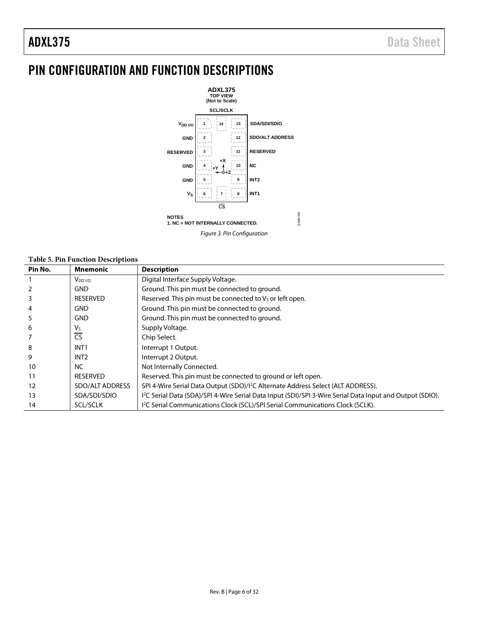# <span id="page-5-0"></span>PIN CONFIGURATION AND FUNCTION DESCRIPTIONS



|  |  | <b>Table 5. Pin Function Descriptions</b> |  |  |
|--|--|-------------------------------------------|--|--|
|--|--|-------------------------------------------|--|--|

| Pin No. | <b>Mnemonic</b>     | <b>Description</b>                                                                                                    |
|---------|---------------------|-----------------------------------------------------------------------------------------------------------------------|
|         | V <sub>DD I/O</sub> | Digital Interface Supply Voltage.                                                                                     |
|         | <b>GND</b>          | Ground. This pin must be connected to ground.                                                                         |
|         | <b>RESERVED</b>     | Reserved. This pin must be connected to V <sub>s</sub> or left open.                                                  |
|         | <b>GND</b>          | Ground. This pin must be connected to ground.                                                                         |
|         | <b>GND</b>          | Ground. This pin must be connected to ground.                                                                         |
| 6       | Vs                  | Supply Voltage.                                                                                                       |
|         | <b>CS</b>           | Chip Select.                                                                                                          |
| 8       | INT <sub>1</sub>    | Interrupt 1 Output.                                                                                                   |
| 9       | INT <sub>2</sub>    | Interrupt 2 Output.                                                                                                   |
| 10      | <b>NC</b>           | Not Internally Connected.                                                                                             |
| 11      | <b>RESERVED</b>     | Reserved. This pin must be connected to ground or left open.                                                          |
| 12      | SDO/ALT ADDRESS     | SPI 4-Wire Serial Data Output (SDO)/I <sup>2</sup> C Alternate Address Select (ALT ADDRESS).                          |
| 13      | SDA/SDI/SDIO        | I <sup>2</sup> C Serial Data (SDA)/SPI 4-Wire Serial Data Input (SDI)/SPI 3-Wire Serial Data Input and Output (SDIO). |
| 14      | <b>SCL/SCLK</b>     | I <sup>2</sup> C Serial Communications Clock (SCL)/SPI Serial Communications Clock (SCLK).                            |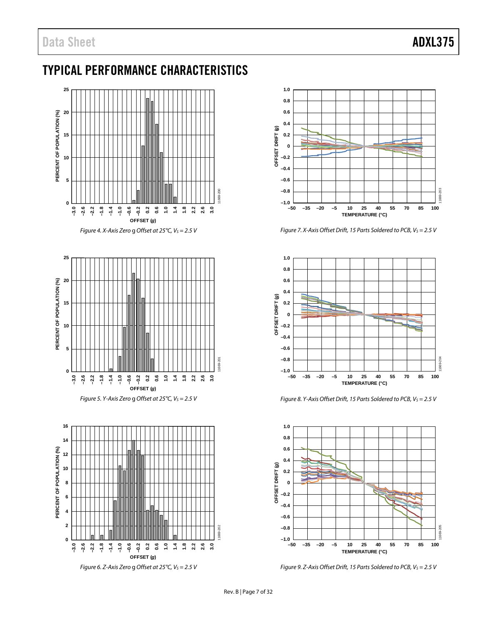# <span id="page-6-0"></span>TYPICAL PERFORMANCE CHARACTERISTICS









*Figure 7. X-Axis Offset Drift, 15 Parts Soldered to PCB, Vs* = 2.5 V



*Figure 8. Y-Axis Offset Drift, 15 Parts Soldered to PCB, Vs* = 2.5 V



*Figure 9. Z-Axis Offset Drift, 15 Parts Soldered to PCB, Vs* = 2.5 V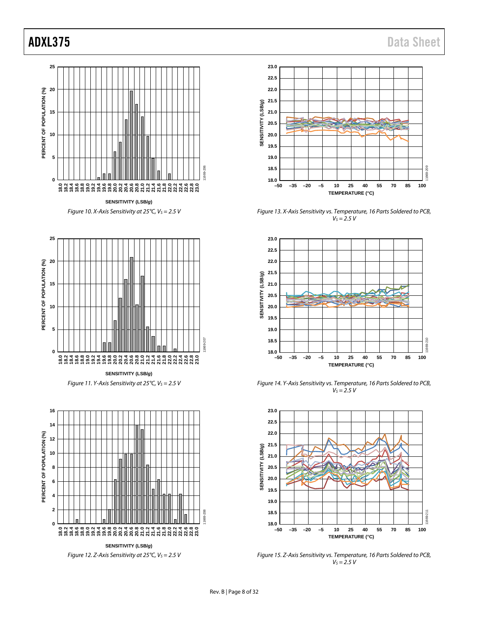



**SENSITIVITY (LSB/***g***)** *Figure 11. Y-Axis Sensitivity at 25°C, Vs* = 2.5 V



*Figure 12. Z-Axis Sensitivity at 25°C, V<sub>S</sub> = 2.5 V* 



*Figure 13. X-Axis Sensitivity vs. Temperature, 16 Parts Soldered to PCB,*   $V_S = 2.5 V$ 



*Figure 14. Y-Axis Sensitivity vs. Temperature, 16 Parts Soldered to PCB,*   $V_s = 2.5 V$ 



*Figure 15. Z-Axis Sensitivity vs. Temperature, 16 Parts Soldered to PCB,*   $V_S = 2.5 V$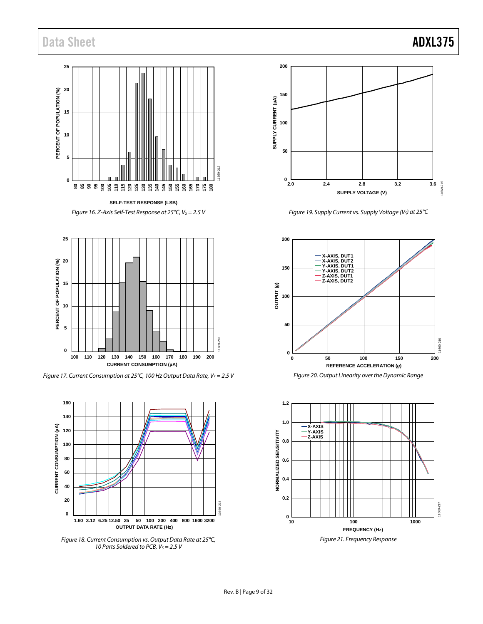# Data Sheet **ADXL375**

# **25 20** PERCENT OF POPULATION (%) **PERCENT OF POPULATION (%) 15 10 5** 11669-212 **0 115 80 85 90 95 100 105 110 120 125 130 135 140 145 150 155 160 165 170 175 180**

**SELF-TEST RESPONSE (LSB)** *Figure 16. Z-Axis Self-Test Response at 25°C, V<sub>S</sub> = 2.5 V* 

<span id="page-8-0"></span>

*Figure 17. Current Consumption at 25°C, 100 Hz Output Data Rate, Vs* = 2.5 V



*Figure 18. Current Consumption vs. Output Data Rate at 25°C, 10 Parts Soldered to PCB, V<sub>S</sub> = 2.5 V* 



*Figure 19. Supply Current vs. Supply Voltage* (V<sub>S</sub>) at 25°C



*Figure 20. Output Linearity over the Dynamic Range*

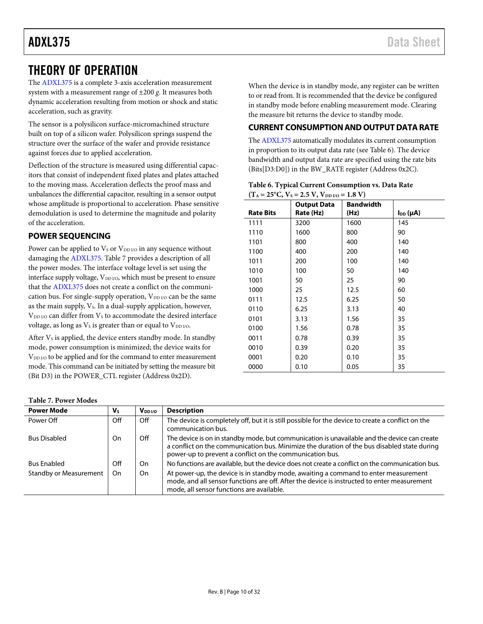# <span id="page-9-0"></span>THEORY OF OPERATION

The [ADXL375](http://www.analog.com/ADXL375?doc=ADXL375.pdf) is a complete 3-axis acceleration measurement system with a measurement range of ±200 *g*. It measures both dynamic acceleration resulting from motion or shock and static acceleration, such as gravity.

The sensor is a polysilicon surface-micromachined structure built on top of a silicon wafer. Polysilicon springs suspend the structure over the surface of the wafer and provide resistance against forces due to applied acceleration.

Deflection of the structure is measured using differential capacitors that consist of independent fixed plates and plates attached to the moving mass. Acceleration deflects the proof mass and unbalances the differential capacitor, resulting in a sensor output whose amplitude is proportional to acceleration. Phase sensitive demodulation is used to determine the magnitude and polarity of the acceleration.

# <span id="page-9-1"></span>**POWER SEQUENCING**

<span id="page-9-3"></span>**Table 7. Power Modes**

Power can be applied to  $V_S$  or  $V_{DD I/O}$  in any sequence without damaging the [ADXL375.](http://www.analog.com/ADXL375?doc=ADXL375.pdf) [Table 7](#page-9-3) provides a description of all the power modes. The interface voltage level is set using the interface supply voltage, V<sub>DD I/O</sub>, which must be present to ensure that the [ADXL375](http://www.analog.com/ADXL375?doc=ADXL375.pdf) does not create a conflict on the communication bus. For single-supply operation,  $V_{DD I/O}$  can be the same as the main supply, V<sub>s</sub>. In a dual-supply application, however,  $V_{DD I/O}$  can differ from  $V_S$  to accommodate the desired interface voltage, as long as  $V_s$  is greater than or equal to  $V_{DD I/O}$ .

After  $V_s$  is applied, the device enters standby mode. In standby mode, power consumption is minimized; the device waits for  $V_{DD I/O}$  to be applied and for the command to enter measurement mode. This command can be initiated by setting the measure bit (Bit D3) in the POWER\_CTL register (Address 0x2D).

When the device is in standby mode, any register can be written to or read from. It is recommended that the device be configured in standby mode before enabling measurement mode. Clearing the measure bit returns the device to standby mode.

### <span id="page-9-2"></span>**CURRENT CONSUMPTION AND OUTPUT DATA RATE**

Th[e ADXL375](http://www.analog.com/ADXL375?doc=ADXL375.pdf) automatically modulates its current consumption in proportion to its output data rate (see [Table 6\)](#page-9-4). The device bandwidth and output data rate are specified using the rate bits (Bits[D3:D0]) in the BW\_RATE register (Address 0x2C).

<span id="page-9-4"></span>

| Table 6. Typical Current Consumption vs. Data Rate     |  |
|--------------------------------------------------------|--|
| $(T_A = 25^{\circ}C, V_s = 2.5 V, V_{DD I/O} = 1.8 V)$ |  |

| <b>Rate Bits</b> | <b>Output Data</b><br>Rate (Hz) | <b>Bandwidth</b><br>(Hz) | $I_{DD}(\mu A)$ |
|------------------|---------------------------------|--------------------------|-----------------|
| 1111             | 3200                            | 1600                     | 145             |
| 1110             | 1600                            | 800                      | 90              |
| 1101             | 800                             | 400                      | 140             |
| 1100             | 400                             | 200                      | 140             |
| 1011             | 200                             | 100                      | 140             |
| 1010             | 100                             | 50                       | 140             |
| 1001             | 50                              | 25                       | 90              |
| 1000             | 25                              | 12.5                     | 60              |
| 0111             | 12.5                            | 6.25                     | 50              |
| 0110             | 6.25                            | 3.13                     | 40              |
| 0101             | 3.13                            | 1.56                     | 35              |
| 0100             | 1.56                            | 0.78                     | 35              |
| 0011             | 0.78                            | 0.39                     | 35              |
| 0010             | 0.39                            | 0.20                     | 35              |
| 0001             | 0.20                            | 0.10                     | 35              |
| 0000             | 0.10                            | 0.05                     | 35              |

| <b>Power Mode</b>             | V <sub>s</sub> | $V_{DD I/O}$ | <b>Description</b>                                                                                                                                                                                                                                      |
|-------------------------------|----------------|--------------|---------------------------------------------------------------------------------------------------------------------------------------------------------------------------------------------------------------------------------------------------------|
| Power Off                     | Off            | Off          | The device is completely off, but it is still possible for the device to create a conflict on the<br>communication bus.                                                                                                                                 |
| <b>Bus Disabled</b>           | On.            | Off          | The device is on in standby mode, but communication is unavailable and the device can create<br>a conflict on the communication bus. Minimize the duration of the bus disabled state during<br>power-up to prevent a conflict on the communication bus. |
| <b>Bus Enabled</b>            | Off            | On.          | No functions are available, but the device does not create a conflict on the communication bus.                                                                                                                                                         |
| <b>Standby or Measurement</b> | On             | On.          | At power-up, the device is in standby mode, awaiting a command to enter measurement<br>mode, and all sensor functions are off. After the device is instructed to enter measurement<br>mode, all sensor functions are available.                         |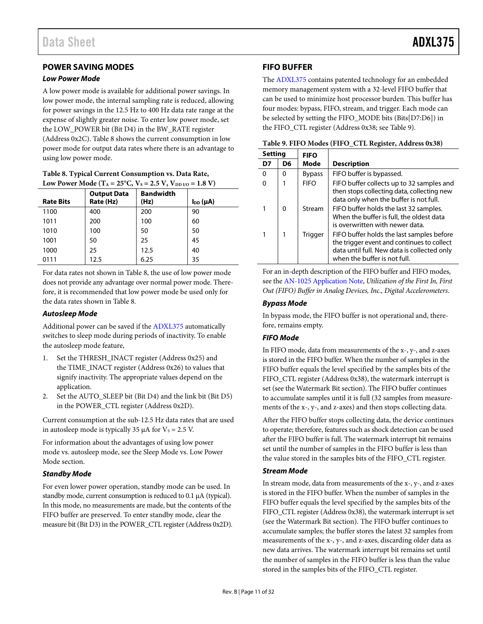# <span id="page-10-0"></span>**POWER SAVING MODES**

#### <span id="page-10-4"></span>*Low Power Mode*

A low power mode is available for additional power savings. In low power mode, the internal sampling rate is reduced, allowing for power savings in the 12.5 Hz to 400 Hz data rate range at the expense of slightly greater noise. To enter low power mode, set the LOW\_POWER bit (Bit D4) in the BW\_RATE register (Address 0x2C)[. Table 8](#page-10-2) shows the current consumption in low power mode for output data rates where there is an advantage to using low power mode.

<span id="page-10-2"></span>

| Table 8. Typical Current Consumption vs. Data Rate,                                                      |
|----------------------------------------------------------------------------------------------------------|
| Low Power Mode (T <sub>A</sub> = 25 <sup>o</sup> C, V <sub>s</sub> = 2.5 V, V <sub>DD I/O</sub> = 1.8 V) |

| <b>Rate Bits</b> | <b>Output Data</b><br>Rate (Hz) | <b>Bandwidth</b><br>(Hz) | $I_{DD}(\mu A)$ |
|------------------|---------------------------------|--------------------------|-----------------|
| 1100             | 400                             | 200                      | 90              |
| 1011             | 200                             | 100                      | 60              |
| 1010             | 100                             | 50                       | 50              |
| 1001             | 50                              | 25                       | 45              |
| 1000             | 25                              | 12.5                     | 40              |
| 0111             | 12.5                            | 6.25                     | 35              |

For data rates not shown i[n Table 8,](#page-10-2) the use of low power mode does not provide any advantage over normal power mode. Therefore, it is recommended that low power mode be used only for the data rates shown i[n Table 8.](#page-10-2)

### <span id="page-10-5"></span>*Autosleep Mode*

Additional power can be saved if the [ADXL375](http://www.analog.com/ADXL375?doc=ADXL375.pdf) automatically switches to sleep mode during periods of inactivity. To enable the autosleep mode feature,

- 1. Set the THRESH\_INACT register (Address 0x25) and the TIME\_INACT register (Address 0x26) to values that signify inactivity. The appropriate values depend on the application.
- 2. Set the AUTO\_SLEEP bit (Bit D4) and the link bit (Bit D5) in the POWER\_CTL register (Address 0x2D).

Current consumption at the sub-12.5 Hz data rates that are used in autosleep mode is typically 35  $\mu$ A for V<sub>s</sub> = 2.5 V.

For information about the advantages of using low power mode vs. autosleep mode, see the [Sleep Mode vs. Low Power](#page-27-0)  [Mode](#page-27-0) section.

### *Standby Mode*

For even lower power operation, standby mode can be used. In standby mode, current consumption is reduced to 0.1 µA (typical). In this mode, no measurements are made, but the contents of the FIFO buffer are preserved. To enter standby mode, clear the measure bit (Bit D3) in the POWER\_CTL register (Address 0x2D).

# <span id="page-10-1"></span>**FIFO BUFFER**

The [ADXL375](http://www.analog.com/ADXL375?doc=ADXL375.pdf) contains patented technology for an embedded memory management system with a 32-level FIFO buffer that can be used to minimize host processor burden. This buffer has four modes: bypass, FIFO, stream, and trigger. Each mode can be selected by setting the FIFO\_MODE bits (Bits[D7:D6]) in the FIFO\_CTL register (Address 0x38; se[e Table 9\)](#page-10-3).

| <b>Setting</b> |    | <b>FIFO</b>    |                                                                                                                                                                        |
|----------------|----|----------------|------------------------------------------------------------------------------------------------------------------------------------------------------------------------|
| D7             | D6 | Mode           | <b>Description</b>                                                                                                                                                     |
| $\Omega$       | O  | <b>Bypass</b>  | FIFO buffer is bypassed.                                                                                                                                               |
| O              |    | <b>FIFO</b>    | FIFO buffer collects up to 32 samples and<br>then stops collecting data, collecting new<br>data only when the buffer is not full.                                      |
|                | 0  | Stream         | FIFO buffer holds the last 32 samples.<br>When the buffer is full, the oldest data<br>is overwritten with newer data.                                                  |
|                | 1  | <b>Trigger</b> | FIFO buffer holds the last samples before<br>the trigger event and continues to collect<br>data until full. New data is collected only<br>when the buffer is not full. |

<span id="page-10-3"></span>

| Table 9. FIFO Modes (FIFO_CTL Register, Address 0x38) |  |  |
|-------------------------------------------------------|--|--|
|-------------------------------------------------------|--|--|

For an in-depth description of the FIFO buffer and FIFO modes, see th[e AN-1025 Application Note,](http://www.analog.com/AN-1025?doc=ADXL375.pdf) *Utilization of the First In, First Out (FIFO) Buffer in Analog Devices, Inc., Digital Accelerometers*.

### *Bypass Mode*

In bypass mode, the FIFO buffer is not operational and, therefore, remains empty.

# *FIFO Mode*

In FIFO mode, data from measurements of the x-, y-, and z-axes is stored in the FIFO buffer. When the number of samples in the FIFO buffer equals the level specified by the samples bits of the FIFO\_CTL register (Address 0x38), the watermark interrupt is set (see th[e Watermark](#page-13-0) Bit section). The FIFO buffer continues to accumulate samples until it is full (32 samples from measurements of the x-, y-, and z-axes) and then stops collecting data.

After the FIFO buffer stops collecting data, the device continues to operate; therefore, features such as shock detection can be used after the FIFO buffer is full. The watermark interrupt bit remains set until the number of samples in the FIFO buffer is less than the value stored in the samples bits of the FIFO\_CTL register.

### *Stream Mode*

In stream mode, data from measurements of the x-, y-, and z-axes is stored in the FIFO buffer. When the number of samples in the FIFO buffer equals the level specified by the samples bits of the FIFO\_CTL register (Address 0x38), the watermark interrupt is set (see th[e Watermark](#page-13-0) Bit section). The FIFO buffer continues to accumulate samples; the buffer stores the latest 32 samples from measurements of the x-, y-, and z-axes, discarding older data as new data arrives. The watermark interrupt bit remains set until the number of samples in the FIFO buffer is less than the value stored in the samples bits of the FIFO\_CTL register.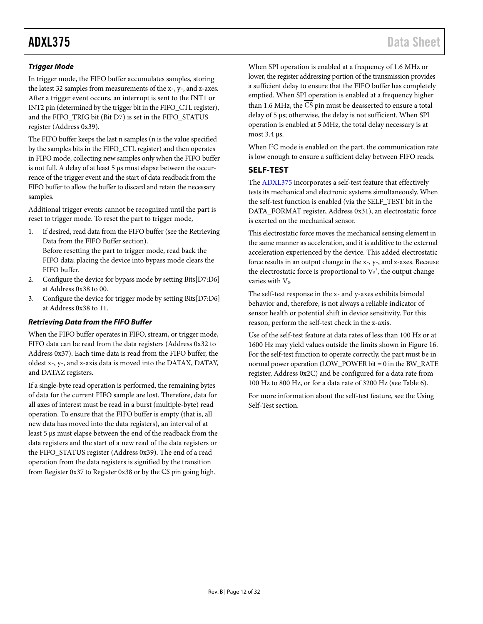# *Trigger Mode*

In trigger mode, the FIFO buffer accumulates samples, storing the latest 32 samples from measurements of the x-, y-, and z-axes. After a trigger event occurs, an interrupt is sent to the INT1 or INT2 pin (determined by the trigger bit in the FIFO\_CTL register), and the FIFO\_TRIG bit (Bit D7) is set in the FIFO\_STATUS register (Address 0x39).

The FIFO buffer keeps the last n samples (n is the value specified by the samples bits in the FIFO\_CTL register) and then operates in FIFO mode, collecting new samples only when the FIFO buffer is not full. A delay of at least 5 µs must elapse between the occurrence of the trigger event and the start of data readback from the FIFO buffer to allow the buffer to discard and retain the necessary samples.

Additional trigger events cannot be recognized until the part is reset to trigger mode. To reset the part to trigger mode,

- 1. If desired, read data from the FIFO buffer (see the [Retrieving](#page-11-1)  [Data from the FIFO Buffer](#page-11-1) section). Before resetting the part to trigger mode, read back the FIFO data; placing the device into bypass mode clears the FIFO buffer.
- 2. Configure the device for bypass mode by setting Bits[D7:D6] at Address 0x38 to 00.
- 3. Configure the device for trigger mode by setting Bits[D7:D6] at Address 0x38 to 11.

# <span id="page-11-1"></span>*Retrieving Data from the FIFO Buffer*

When the FIFO buffer operates in FIFO, stream, or trigger mode, FIFO data can be read from the data registers (Address 0x32 to Address 0x37). Each time data is read from the FIFO buffer, the oldest x-, y-, and z-axis data is moved into the DATAX, DATAY, and DATAZ registers.

If a single-byte read operation is performed, the remaining bytes of data for the current FIFO sample are lost. Therefore, data for all axes of interest must be read in a burst (multiple-byte) read operation. To ensure that the FIFO buffer is empty (that is, all new data has moved into the data registers), an interval of at least 5 µs must elapse between the end of the readback from the data registers and the start of a new read of the data registers or the FIFO\_STATUS register (Address 0x39). The end of a read operation from the data registers is signified by the transition from Register 0x37 to Register 0x38 or by the CS pin going high.

When SPI operation is enabled at a frequency of 1.6 MHz or lower, the register addressing portion of the transmission provides a sufficient delay to ensure that the FIFO buffer has completely emptied. When SPI operation is enabled at a frequency higher than 1.6 MHz, the  $\overline{\text{CS}}$  pin must be deasserted to ensure a total delay of 5 µs; otherwise, the delay is not sufficient. When SPI operation is enabled at 5 MHz, the total delay necessary is at most 3.4 µs.

When I<sup>2</sup>C mode is enabled on the part, the communication rate is low enough to ensure a sufficient delay between FIFO reads.

# <span id="page-11-0"></span>**SELF-TEST**

The [ADXL375](http://www.analog.com/ADXL375?doc=ADXL375.pdf) incorporates a self-test feature that effectively tests its mechanical and electronic systems simultaneously. When the self-test function is enabled (via the SELF\_TEST bit in the DATA\_FORMAT register, Address 0x31), an electrostatic force is exerted on the mechanical sensor.

This electrostatic force moves the mechanical sensing element in the same manner as acceleration, and it is additive to the external acceleration experienced by the device. This added electrostatic force results in an output change in the x-, y-, and z-axes. Because the electrostatic force is proportional to  $V_s^2$ , the output change varies with V<sub>s</sub>.

The self-test response in the x- and y-axes exhibits bimodal behavior and, therefore, is not always a reliable indicator of sensor health or potential shift in device sensitivity. For this reason, perform the self-test check in the z-axis.

Use of the self-test feature at data rates of less than 100 Hz or at 1600 Hz may yield values outside the limits shown in [Figure 16.](#page-8-0)  For the self-test function to operate correctly, the part must be in normal power operation (LOW\_POWER bit = 0 in the BW\_RATE register, Address 0x2C) and be configured for a data rate from 100 Hz to 800 Hz, or for a data rate of 3200 Hz (se[e Table 6\)](#page-9-4).

For more information about the self-test feature, see th[e Using](#page-28-0)  [Self-Test](#page-28-0) section.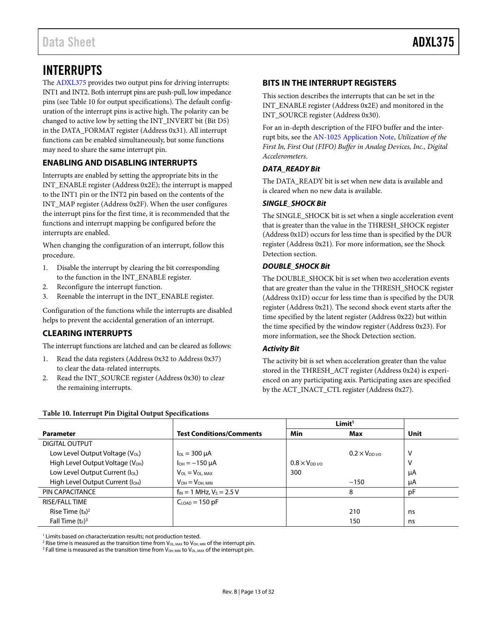# <span id="page-12-0"></span>INTERRUPTS

The [ADXL375](http://www.analog.com/ADXL375?doc=ADXL375.pdf) provides two output pins for driving interrupts: INT1 and INT2. Both interrupt pins are push-pull, low impedance pins (se[e Table](#page-12-4) 10 for output specifications). The default configuration of the interrupt pins is active high. The polarity can be changed to active low by setting the INT\_INVERT bit (Bit D5) in the DATA\_FORMAT register (Address 0x31). All interrupt functions can be enabled simultaneously, but some functions may need to share the same interrupt pin.

# <span id="page-12-1"></span>**ENABLING AND DISABLING INTERRUPTS**

Interrupts are enabled by setting the appropriate bits in the INT\_ENABLE register (Address 0x2E); the interrupt is mapped to the INT1 pin or the INT2 pin based on the contents of the INT\_MAP register (Address 0x2F). When the user configures the interrupt pins for the first time, it is recommended that the functions and interrupt mapping be configured before the interrupts are enabled.

When changing the configuration of an interrupt, follow this procedure.

- 1. Disable the interrupt by clearing the bit corresponding to the function in the INT\_ENABLE register.
- 2. Reconfigure the interrupt function.
- 3. Reenable the interrupt in the INT\_ENABLE register.

Configuration of the functions while the interrupts are disabled helps to prevent the accidental generation of an interrupt.

# <span id="page-12-2"></span>**CLEARING INTERRUPTS**

The interrupt functions are latched and can be cleared as follows:

- 1. Read the data registers (Address 0x32 to Address 0x37) to clear the data-related interrupts.
- 2. Read the INT\_SOURCE register (Address 0x30) to clear the remaining interrupts.

# <span id="page-12-3"></span>**BITS IN THE INTERRUPT REGISTERS**

This section describes the interrupts that can be set in the INT\_ENABLE register (Address 0x2E) and monitored in the INT\_SOURCE register (Address 0x30).

For an in-depth description of the FIFO buffer and the interrupt bits, see th[e AN-1025 Application Note,](http://www.analog.com/AN-1025?doc=ADXL375.pdf) *Utilization of the First In, First Out (FIFO) Buffer in Analog Devices, Inc., Digital Accelerometers*.

### *DATA\_READY Bit*

The DATA\_READY bit is set when new data is available and is cleared when no new data is available.

### *SINGLE\_SHOCK Bit*

The SINGLE\_SHOCK bit is set when a single acceleration event that is greater than the value in the THRESH\_SHOCK register (Address 0x1D) occurs for less time than is specified by the DUR register (Address 0x21). For more information, see the [Shock](#page-25-3) [Detection](#page-25-3) section.

### *DOUBLE\_SHOCK Bit*

The DOUBLE\_SHOCK bit is set when two acceleration events that are greater than the value in the THRESH\_SHOCK register (Address 0x1D) occur for less time than is specified by the DUR register (Address 0x21). The second shock event starts after the time specified by the latent register (Address 0x22) but within the time specified by the window register (Address 0x23). For more information, see the Shock [Detection](#page-25-3) section.

# *Activity Bit*

The activity bit is set when acceleration greater than the value stored in the THRESH\_ACT register (Address 0x24) is experienced on any participating axis. Participating axes are specified by the ACT\_INACT\_CTL register (Address 0x27).

|                                              |                                 | Limit <sup>1</sup>  |                         |      |
|----------------------------------------------|---------------------------------|---------------------|-------------------------|------|
| <b>Parameter</b>                             | <b>Test Conditions/Comments</b> | Min                 | Max                     | Unit |
| <b>DIGITAL OUTPUT</b>                        |                                 |                     |                         |      |
| Low Level Output Voltage $(V_{OL})$          | $I_{OL} = 300 \mu A$            |                     | $0.2 \times V_{DD}$ i/o | ν    |
| High Level Output Voltage (V <sub>OH</sub> ) | $I_{OH} = -150 \mu A$           | $0.8 \times V_{DD}$ |                         | ν    |
| Low Level Output Current (I <sub>OL</sub> )  | $V_{OL} = V_{OL, MAX}$          | 300                 |                         | μA   |
| High Level Output Current (I <sub>OH</sub> ) | $V_{OH} = V_{OH, MIN}$          |                     | $-150$                  | μA   |
| PIN CAPACITANCE                              | $f_{IN}$ = 1 MHz, $V_S$ = 2.5 V |                     | 8                       | рF   |
| <b>RISE/FALL TIME</b>                        | $CLOAD = 150 pF$                |                     |                         |      |
| Rise Time $(t_R)^2$                          |                                 |                     | 210                     | ns   |
| Fall Time $(t_F)^3$                          |                                 |                     | 150                     | ns   |

<span id="page-12-4"></span>**Table 10. Interrupt Pin Digital Output Specifications**

<sup>1</sup> Limits based on characterization results; not production tested.

<sup>2</sup> Rise time is measured as the transition time from  $V_{OL, MAX}$  to  $V_{OH, MIN}$  of the interrupt pin.

<sup>3</sup> Fall time is measured as the transition time from  $V_{OH, MIN}$  to  $V_{OL, MAX}$  of the interrupt pin.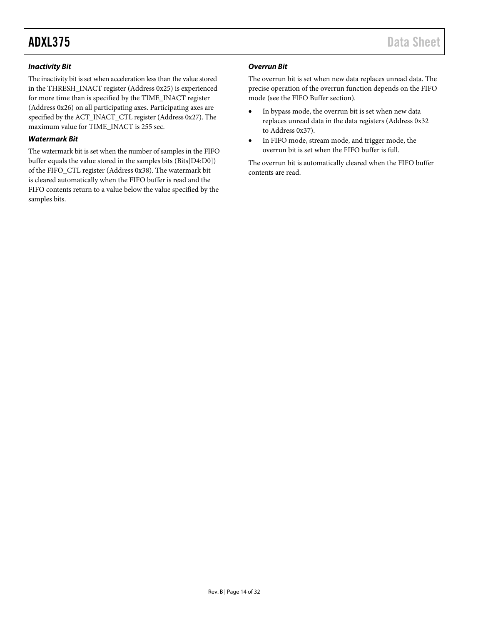### *Inactivity Bit*

The inactivity bit is set when acceleration less than the value stored in the THRESH\_INACT register (Address 0x25) is experienced for more time than is specified by the TIME\_INACT register (Address 0x26) on all participating axes. Participating axes are specified by the ACT\_INACT\_CTL register (Address 0x27). The maximum value for TIME\_INACT is 255 sec.

### <span id="page-13-0"></span>*Watermark Bit*

The watermark bit is set when the number of samples in the FIFO buffer equals the value stored in the samples bits (Bits[D4:D0]) of the FIFO\_CTL register (Address 0x38). The watermark bit is cleared automatically when the FIFO buffer is read and the FIFO contents return to a value below the value specified by the samples bits.

# *Overrun Bit*

The overrun bit is set when new data replaces unread data. The precise operation of the overrun function depends on the FIFO mode (see the FIFO [Buffer](#page-10-1) section).

- In bypass mode, the overrun bit is set when new data replaces unread data in the data registers (Address 0x32 to Address 0x37).
- In FIFO mode, stream mode, and trigger mode, the overrun bit is set when the FIFO buffer is full.

The overrun bit is automatically cleared when the FIFO buffer contents are read.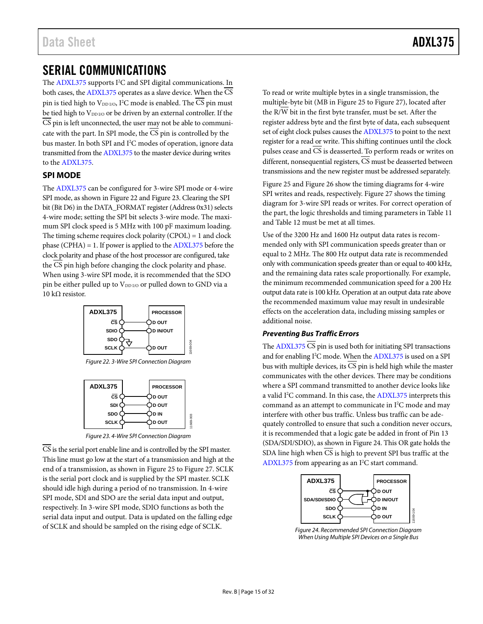# <span id="page-14-0"></span>SERIAL COMMUNICATIONS

The [ADXL375](http://www.analog.com/ADXL375?doc=ADXL375.pdf) supports I 2 C and SPI digital communications. In both cases, the [ADXL375](http://www.analog.com/ADXL375?doc=ADXL375.pdf) operates as a slave device. When the  $\overline{\text{CS}}$ pin is tied high to  $\rm V_{DD\,I/O},$  I<sup>2</sup>C mode is enabled. The CS pin must be tied high to VDDI/O or be driven by an external controller. If the  $\overline{CS}$  pin is left unconnected, the user may not be able to communicate with the part. In SPI mode, the CS pin is controlled by the bus master. In both SPI and I 2 C modes of operation, ignore data transmitted from th[e ADXL375](http://www.analog.com/ADXL375?doc=ADXL375.pdf) to the master device during writes to the [ADXL375.](http://www.analog.com/ADXL375?doc=ADXL375.pdf)

# <span id="page-14-1"></span>**SPI MODE**

The [ADXL375](http://www.analog.com/ADXL375?doc=ADXL375.pdf) can be configured for 3-wire SPI mode or 4-wire SPI mode, as shown i[n Figure 22](#page-14-2) an[d Figure 23.](#page-14-3) Clearing the SPI bit (Bit D6) in the DATA\_FORMAT register (Address 0x31) selects 4-wire mode; setting the SPI bit selects 3-wire mode. The maximum SPI clock speed is 5 MHz with 100 pF maximum loading. The timing scheme requires clock polarity (CPOL) = 1 and clock phase (CPHA) = 1. If power is applied to the [ADXL375](http://www.analog.com/ADXL375?doc=ADXL375.pdf) before the clock polarity and phase of the host processor are configured, take the CS pin high before changing the clock polarity and phase. When using 3-wire SPI mode, it is recommended that the SDO pin be either pulled up to V<sub>DD I/O</sub> or pulled down to GND via a 10 kΩ resistor.



*Figure 22. 3-Wire SPI Connection Diagram*

<span id="page-14-2"></span>

*Figure 23. 4-Wire SPI Connection Diagram*

<span id="page-14-3"></span>CS is the serial port enable line and is controlled by the SPI master. This line must go low at the start of a transmission and high at the end of a transmission, as shown i[n Figure 25](#page-15-0) to [Figure 27.](#page-15-1) SCLK is the serial port clock and is supplied by the SPI master. SCLK should idle high during a period of no transmission. In 4-wire SPI mode, SDI and SDO are the serial data input and output, respectively. In 3-wire SPI mode, SDIO functions as both the serial data input and output. Data is updated on the falling edge of SCLK and should be sampled on the rising edge of SCLK.

To read or write multiple bytes in a single transmission, the multiple-byte bit (MB i[n Figure 25](#page-15-0) t[o Figure](#page-15-1) 27), located after the R/W bit in the first byte transfer, must be set. After the register address byte and the first byte of data, each subsequent set of eight clock pulses causes the [ADXL375](http://www.analog.com/ADXL375?doc=ADXL375.pdf) to point to the next register for a read or write. This shifting continues until the clock pulses cease and CS is deasserted. To perform reads or writes on different, nonsequential registers,  $\overline{CS}$  must be deasserted between transmissions and the new register must be addressed separately.

[Figure 25](#page-15-0) an[d Figure 26](#page-15-2) show the timing diagrams for 4-wire SPI writes and reads, respectively. [Figure 27](#page-15-1) shows the timing diagram for 3-wire SPI reads or writes. For correct operation of the part, the logic thresholds and timing parameters in [Table 11](#page-16-0) an[d Table 12](#page-16-1) must be met at all times.

Use of the 3200 Hz and 1600 Hz output data rates is recommended only with SPI communication speeds greater than or equal to 2 MHz. The 800 Hz output data rate is recommended only with communication speeds greater than or equal to 400 kHz, and the remaining data rates scale proportionally. For example, the minimum recommended communication speed for a 200 Hz output data rate is 100 kHz. Operation at an output data rate above the recommended maximum value may result in undesirable effects on the acceleration data, including missing samples or additional noise.

### *Preventing Bus Traffic Errors*

The  $ADXL375$   $\overline{\text{CS}}$  pin is used both for initiating SPI transactions and for enabling I<sup>2</sup>C mode. When th[e ADXL375](http://www.analog.com/ADXL375?doc=ADXL375.pdf) is used on a SPI bus with multiple devices, its  $\overline{\text{CS}}$  pin is held high while the master communicates with the other devices. There may be conditions where a SPI command transmitted to another device looks like a valid I<sup>2</sup>C command. In this case, the [ADXL375](http://www.analog.com/ADXL375?doc=ADXL375.pdf) interprets this command as an attempt to communicate in  $I^2C$  mode and may interfere with other bus traffic. Unless bus traffic can be adequately controlled to ensure that such a condition never occurs, it is recommended that a logic gate be added in front of Pin 13 (SDA/SDI/SDIO), as shown in [Figure 24.](#page-14-4) This OR gate holds the SDA line high when CS is high to prevent SPI bus traffic at the [ADXL375](http://www.analog.com/ADXL375?doc=ADXL375.pdf) from appearing as an I<sup>2</sup>C start command.



<span id="page-14-4"></span>*Figure 24. Recommended SPI Connection Diagram When Using Multiple SPI Devices on a Single Bus*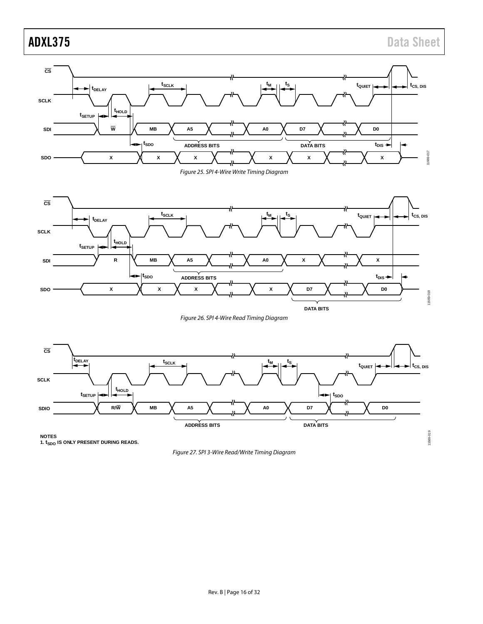



<span id="page-15-0"></span>

Figure 26. SPI 4-Wire Read Timing Diagram

<span id="page-15-2"></span>

<span id="page-15-1"></span>NOTES<br>1. t<sub>SDO</sub> IS ONLY PRESENT DURING READS.

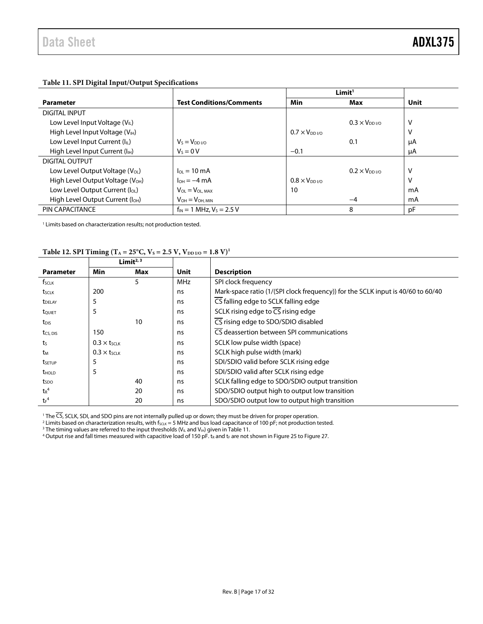| $\sigma$                                     |                                 |                        |                     |      |  |  |  |  |
|----------------------------------------------|---------------------------------|------------------------|---------------------|------|--|--|--|--|
|                                              |                                 |                        |                     |      |  |  |  |  |
| <b>Parameter</b>                             | <b>Test Conditions/Comments</b> | Min                    | Max                 | Unit |  |  |  |  |
| DIGITAL INPUT                                |                                 |                        |                     |      |  |  |  |  |
| Low Level Input Voltage $(V_{\parallel})$    |                                 |                        | $0.3 \times V_{DD}$ | ٧    |  |  |  |  |
| High Level Input Voltage (V <sub>IH</sub> )  |                                 | $0.7 \times V_{DD}$    |                     | ٧    |  |  |  |  |
| Low Level Input Current (IL)                 | $V_S = V_{DD I/O}$              |                        | 0.1                 | μA   |  |  |  |  |
| High Level Input Current (I <sub>H</sub> )   | $V_s = 0 V$                     | $-0.1$                 |                     | μA   |  |  |  |  |
| <b>DIGITAL OUTPUT</b>                        |                                 |                        |                     |      |  |  |  |  |
| Low Level Output Voltage (V <sub>OL</sub> )  | $I_{01} = 10 \text{ mA}$        |                        | $0.2 \times V_{DD}$ | ٧    |  |  |  |  |
| High Level Output Voltage (V <sub>OH</sub> ) | $I_{OH} = -4 \text{ mA}$        | $0.8 \times V_{DD1/0}$ |                     | v    |  |  |  |  |
| Low Level Output Current (loL)               | $V_{OL} = V_{OL, MAX}$          | 10                     |                     | mA   |  |  |  |  |
| High Level Output Current (I <sub>OH</sub> ) | $V_{OH} = V_{OH, MIN}$          |                        | $-4$                | mA   |  |  |  |  |
| PIN CAPACITANCE                              | $f_{IN}$ = 1 MHz, $V_s$ = 2.5 V |                        | 8                   | pF   |  |  |  |  |

# <span id="page-16-0"></span>**Table 11. SPI Digital Input/Output Specifications**

<sup>1</sup> Limits based on characterization results; not production tested.

### <span id="page-16-1"></span>Table 12. SPI Timing ( $T_A = 25^{\circ}C$ ,  $V_S = 2.5 V$ ,  $V_{DD I/O} = 1.8 V$ )<sup>1</sup>

|                          |                                | Limit <sup><math>2, 3</math></sup> |            |                                                                                 |
|--------------------------|--------------------------------|------------------------------------|------------|---------------------------------------------------------------------------------|
| <b>Parameter</b>         | Min                            | Max                                | Unit       | <b>Description</b>                                                              |
| fsclk                    |                                | 5                                  | <b>MHz</b> | SPI clock frequency                                                             |
| tsclk                    | 200                            |                                    | ns         | Mark-space ratio (1/(SPI clock frequency)) for the SCLK input is 40/60 to 60/40 |
| <b>t</b> DELAY           | 5                              |                                    | ns         | CS falling edge to SCLK falling edge                                            |
| tQUIET                   | 5                              |                                    | ns         | SCLK rising edge to $\overline{CS}$ rising edge                                 |
| t <sub>DIS</sub>         |                                | 10                                 | ns         | CS rising edge to SDO/SDIO disabled                                             |
| tcs, DIS                 | 150                            |                                    | ns         | $\overline{\text{CS}}$ deassertion between SPI communications                   |
| ts                       | $0.3 \times t$ <sub>SCLK</sub> |                                    | ns         | SCLK low pulse width (space)                                                    |
| tм                       | $0.3 \times t$ SCLK            |                                    | ns         | SCLK high pulse width (mark)                                                    |
| tsetup                   | 5                              |                                    | ns         | SDI/SDIO valid before SCLK rising edge                                          |
| <b>t</b> <sub>HOLD</sub> | 5                              |                                    | ns         | SDI/SDIO valid after SCLK rising edge                                           |
| t <sub>spo</sub>         |                                | 40                                 | ns         | SCLK falling edge to SDO/SDIO output transition                                 |
| $tr^4$                   |                                | 20                                 | ns         | SDO/SDIO output high to output low transition                                   |
| $tr^4$                   |                                | 20                                 | ns         | SDO/SDIO output low to output high transition                                   |

<sup>1</sup> The CS, SCLK, SDI, and SDO pins are not internally pulled up or down; they must be driven for proper operation.

 $^2$  Limits based on characterization results, with f $_{\rm SCLK}$  = 5 MHz and bus load capacitance of 100 pF; not production tested.

<sup>3</sup> The timing values are referred to the input thresholds (V<sub>IL</sub> and V<sub>IH</sub>) given i[n Table 11.](#page-16-0)

 $^4$ Output rise and fall times measured with capacitive load of 150 pF. t<sub>R</sub> and t<sub>F</sub> are not shown i[n Figure 25](#page-15-0) t[o Figure 27.](#page-15-1)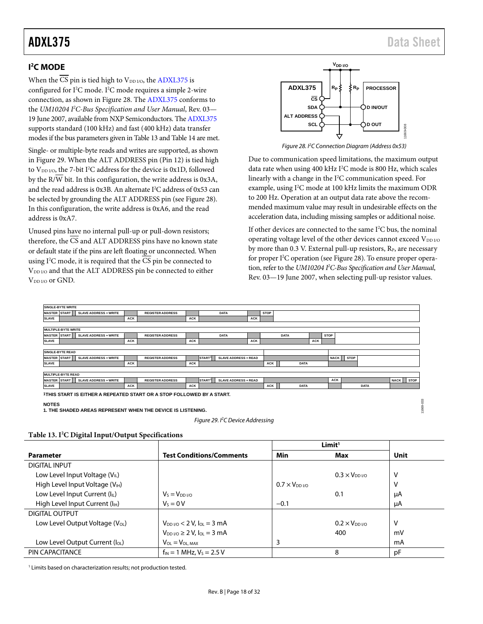# <span id="page-17-0"></span>**I 2 C MODE**

When the  $\overline{\text{CS}}$  pin is tied high to V<sub>DD I/O</sub>, the [ADXL375](http://www.analog.com/ADXL375?doc=ADXL375.pdf) is configured for I 2 C mode. I 2 C mode requires a simple 2-wire connection, as shown i[n Figure 28.](#page-17-1) The [ADXL375](http://www.analog.com/ADXL375?doc=ADXL375.pdf) conforms to the *UM10204 I2 C-Bus Specification and User Manual*, Rev. 03— 19 June 2007, available from NXP Semiconductors. Th[e ADXL375](http://www.analog.com/ADXL375?doc=ADXL375.pdf) supports standard (100 kHz) and fast (400 kHz) data transfer modes if the bus parameters given i[n Table 13](#page-17-2) an[d Table 14](#page-18-0) are met.

Single- or multiple-byte reads and writes are supported, as shown in [Figure 29.](#page-17-3) When the ALT ADDRESS pin (Pin 12) is tied high to  $V_{\text{DD I/O}}$ , the 7-bit I<sup>2</sup>C address for the device is 0x1D, followed by the  $R/\overline{W}$  bit. In this configuration, the write address is 0x3A, and the read address is 0x3B. An alternate  $I^2C$  address of 0x53 can be selected by grounding the ALT ADDRESS pin (se[e Figure 28\)](#page-17-1). In this configuration, the write address is 0xA6, and the read address is 0xA7.

Unused pins have no internal pull-up or pull-down resistors; therefore, the  $\overline{\text{CS}}$  and ALT ADDRESS pins have no known state or default state if the pins are left floating or unconnected. When using  $I^2C$  mode, it is required that the  $CS$  pin be connected to V<sub>DD I/O</sub> and that the ALT ADDRESS pin be connected to either V<sub>DD I/O</sub> or GND.



*Figure 28. I2 C Connection Diagram (Address 0x53)*

<span id="page-17-1"></span>Due to communication speed limitations, the maximum output data rate when using 400 kHz I<sup>2</sup>C mode is 800 Hz, which scales linearly with a change in the I2 C communication speed. For example, using I<sup>2</sup>C mode at 100 kHz limits the maximum ODR to 200 Hz. Operation at an output data rate above the recommended maximum value may result in undesirable effects on the acceleration data, including missing samples or additional noise.

If other devices are connected to the same  $I<sup>2</sup>C$  bus, the nominal operating voltage level of the other devices cannot exceed V<sub>DD I/O</sub> by more than 0.3 V. External pull-up resistors,  $R<sub>P</sub>$ , are necessary for proper I<sup>2</sup>C operation (se[e Figure 28\)](#page-17-1). To ensure proper operation, refer to the *UM10204 I2 C-Bus Specification and User Manual*, Rev. 03—19 June 2007, when selecting pull-up resistor values.



**1. THE SHADED AREAS REPRESENT WHEN THE DEVICE IS LISTENING.**



<span id="page-17-3"></span><span id="page-17-2"></span>

|                                             |                                                    |                     | Limit <sup>1</sup>                |      |
|---------------------------------------------|----------------------------------------------------|---------------------|-----------------------------------|------|
| <b>Parameter</b>                            | <b>Test Conditions/Comments</b>                    | Min                 | Max                               | Unit |
| DIGITAL INPUT                               |                                                    |                     |                                   |      |
| Low Level Input Voltage $(V_{IL})$          |                                                    |                     | $0.3 \times V_{DD}$               | ۷    |
| High Level Input Voltage (V <sub>IH</sub> ) |                                                    | $0.7 \times V_{DD}$ |                                   | ۷    |
| Low Level Input Current (IL)                | $V_5 = V_{DD}$ i/o                                 |                     | 0.1                               | μA   |
| High Level Input Current (I <sub>H</sub> )  | $V_s = 0 V$                                        | $-0.1$              |                                   | μA   |
| DIGITAL OUTPUT                              |                                                    |                     |                                   |      |
| Low Level Output Voltage (V <sub>OL</sub> ) | $V_{DD}$ $\mu$ <sup>o</sup> < 2 V, $I_{OL}$ = 3 mA |                     | $0.2 \times V_{DD}$ <sub>VO</sub> | v    |
|                                             | $V_{DD}$ $V_{O} \ge 2$ V, $I_{OL} = 3$ mA          |                     | 400                               | mV   |
| Low Level Output Current (loL)              | $V_{OL} = V_{OL, MAX}$                             | 3                   |                                   | mA   |
| PIN CAPACITANCE                             | $f_{IN} = 1$ MHz, $V_S = 2.5$ V                    |                     | 8                                 | рF   |

<sup>1</sup> Limits based on characterization results; not production tested.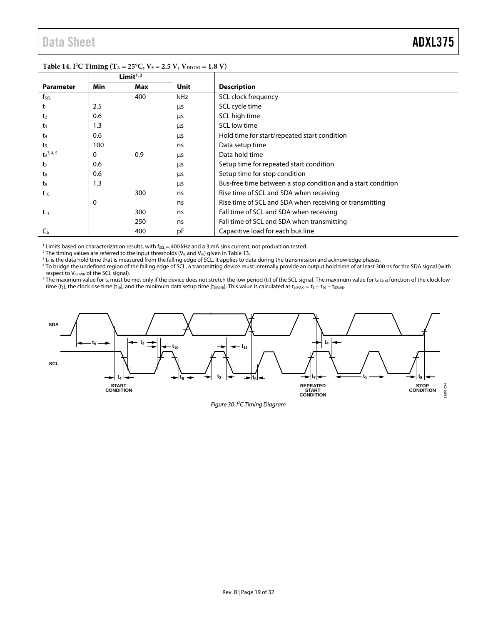|                  | Limit $1/2$ |     |            |                                                              |
|------------------|-------------|-----|------------|--------------------------------------------------------------|
| <b>Parameter</b> | Min         | Max | Unit       | <b>Description</b>                                           |
| fscl             |             | 400 | <b>kHz</b> | SCL clock frequency                                          |
| $t_1$            | 2.5         |     | μs         | SCL cycle time                                               |
| t <sub>2</sub>   | 0.6         |     | μs         | SCL high time                                                |
| t3               | 1.3         |     | μs         | SCL low time                                                 |
| $t_{4}$          | 0.6         |     | μs         | Hold time for start/repeated start condition                 |
| t <sub>5</sub>   | 100         |     | ns         | Data setup time                                              |
| $t_6^{3,4,5}$    | 0           | 0.9 | μs         | Data hold time                                               |
| t <sub>7</sub>   | 0.6         |     | μs         | Setup time for repeated start condition                      |
| t <sub>8</sub>   | 0.6         |     | μs         | Setup time for stop condition                                |
| t,               | 1.3         |     | μs         | Bus-free time between a stop condition and a start condition |
| $t_{10}$         |             | 300 | ns         | Rise time of SCL and SDA when receiving                      |
|                  | 0           |     | ns         | Rise time of SCL and SDA when receiving or transmitting      |
| $t_{11}$         |             | 300 | ns         | Fall time of SCL and SDA when receiving                      |
|                  |             | 250 | ns         | Fall time of SCL and SDA when transmitting                   |
| $C_{\rm b}$      |             | 400 | рF         | Capacitive load for each bus line                            |

#### <span id="page-18-0"></span>**Table 14. I<sup>2</sup>C Timing (T<sub>A</sub> = 25°C, V<sub>S</sub> = 2.5 V, V<sub>DD I/O</sub> = 1.8 V)**

 $^1$  Limits based on characterization results, with f $_{\rm SCL}$  = 400 kHz and a 3 mA sink current; not production tested.<br><sup>2</sup> The timing values are referred to the input thresholds (V<sub>it</sub> and V<sub>it</sub>) given in Table 13

<sup>2</sup> The timing values are referred to the input thresholds (V<sub>IL</sub> and V<sub>IH</sub>) given in Table 13.<br><sup>3</sup> t<sub>6</sub> is the data hold time that is measured from the falling edge of SCL. It applies to data during the transmission and

<sup>3</sup> t<sub>6</sub> is the data hold time that is measured from the falling edge of SCL. It applies to data during the transmission and acknowledge phases.<br><sup>4</sup> To bridge the undefined region of the falling edge of SCL, a transmitting respect to  $V_{IH, MIN}$  of the SCL signal).

<sup>5</sup> The maximum value for t<sub>6</sub> must be met only if the device does not stretch the low period (t<sub>3</sub>) of the SCL signal. The maximum value for t<sub>6</sub> is a function of the clock low time (t<sub>3</sub>), the clock rise time (t<sub>10</sub>), and the minimum data setup time (t<sub>5(MIN)</sub>). This value is calculated as t<sub>6(MAX)</sub> = t<sub>3</sub> − t<sub>10</sub> − t<sub>5(MIN)</sub>.



Figure 30. I<sup>2</sup>C Timing Diagram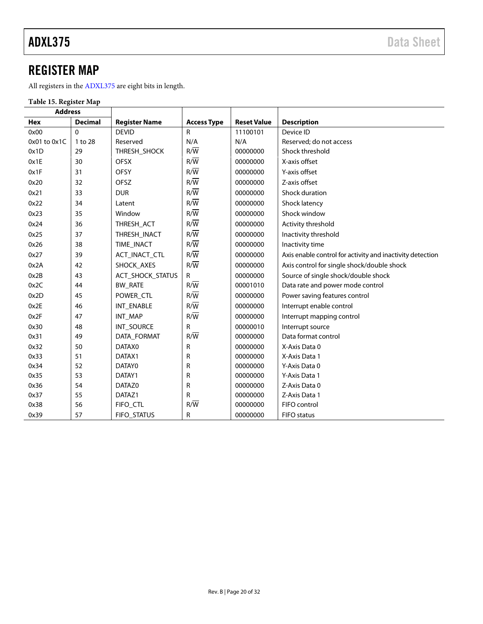# <span id="page-19-0"></span>REGISTER MAP

All registers in th[e ADXL375](http://www.analog.com/ADXL375?doc=ADXL375.pdf) are eight bits in length.

# **Table 15. Register Map**

| <b>Address</b>   |                |                         |                    |                    |                                                           |
|------------------|----------------|-------------------------|--------------------|--------------------|-----------------------------------------------------------|
| Hex              | <b>Decimal</b> | <b>Register Name</b>    | <b>Access Type</b> | <b>Reset Value</b> | <b>Description</b>                                        |
| 0x00             | $\mathbf{0}$   | <b>DEVID</b>            | R                  | 11100101           | Device ID                                                 |
| $0x01$ to $0x1C$ | 1 to 28        | Reserved                | N/A                | N/A                | Reserved; do not access                                   |
| 0x1D             | 29             | THRESH_SHOCK            | $R/\overline{W}$   | 00000000           | Shock threshold                                           |
| 0x1E             | 30             | <b>OFSX</b>             | $R/\overline{W}$   | 00000000           | X-axis offset                                             |
| 0x1F             | 31             | <b>OFSY</b>             | $R/\overline{W}$   | 00000000           | Y-axis offset                                             |
| 0x20             | 32             | OFSZ                    | $R/\overline{W}$   | 00000000           | Z-axis offset                                             |
| 0x21             | 33             | <b>DUR</b>              | $R/\overline{W}$   | 00000000           | Shock duration                                            |
| 0x22             | 34             | Latent                  | $R/\overline{W}$   | 00000000           | Shock latency                                             |
| 0x23             | 35             | Window                  | $R/\overline{W}$   | 00000000           | Shock window                                              |
| 0x24             | 36             | THRESH_ACT              | $R/\overline{W}$   | 00000000           | Activity threshold                                        |
| 0x25             | 37             | THRESH_INACT            | $R/\overline{W}$   | 00000000           | Inactivity threshold                                      |
| 0x26             | 38             | <b>TIME INACT</b>       | $R/\overline{W}$   | 00000000           | Inactivity time                                           |
| 0x27             | 39             | ACT_INACT_CTL           | $R/\overline{W}$   | 00000000           | Axis enable control for activity and inactivity detection |
| 0x2A             | 42             | SHOCK AXES              | $R/\overline{W}$   | 00000000           | Axis control for single shock/double shock                |
| 0x2B             | 43             | <b>ACT_SHOCK_STATUS</b> | R                  | 00000000           | Source of single shock/double shock                       |
| 0x2C             | 44             | <b>BW RATE</b>          | $R/\overline{W}$   | 00001010           | Data rate and power mode control                          |
| 0x2D             | 45             | POWER_CTL               | $R/\overline{W}$   | 00000000           | Power saving features control                             |
| 0x2E             | 46             | INT ENABLE              | $R/\overline{W}$   | 00000000           | Interrupt enable control                                  |
| 0x2F             | 47             | INT_MAP                 | $R/\overline{W}$   | 00000000           | Interrupt mapping control                                 |
| 0x30             | 48             | INT_SOURCE              | R                  | 00000010           | Interrupt source                                          |
| 0x31             | 49             | DATA_FORMAT             | $R/\overline{W}$   | 00000000           | Data format control                                       |
| 0x32             | 50             | DATAX0                  | $\mathsf{R}$       | 00000000           | X-Axis Data 0                                             |
| 0x33             | 51             | DATAX1                  | R                  | 00000000           | X-Axis Data 1                                             |
| 0x34             | 52             | DATAY0                  | R                  | 00000000           | Y-Axis Data 0                                             |
| 0x35             | 53             | DATAY1                  | R                  | 00000000           | Y-Axis Data 1                                             |
| 0x36             | 54             | DATAZ0                  | R                  | 00000000           | Z-Axis Data 0                                             |
| 0x37             | 55             | DATAZ1                  | R                  | 00000000           | Z-Axis Data 1                                             |
| 0x38             | 56             | FIFO_CTL                | $R/\overline{W}$   | 00000000           | FIFO control                                              |
| 0x39             | 57             | FIFO_STATUS             | R                  | 00000000           | FIFO status                                               |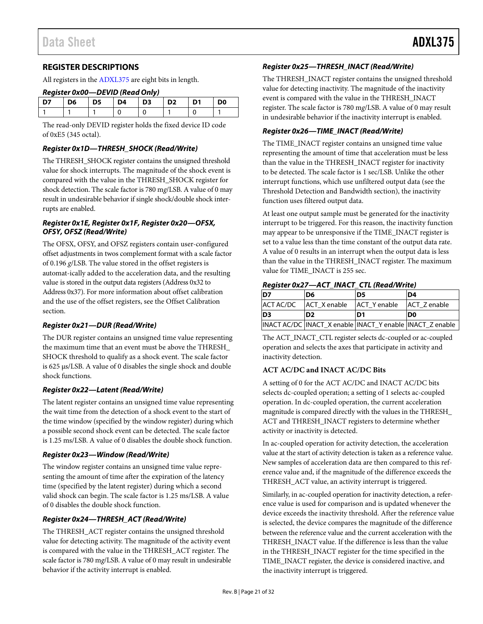# <span id="page-20-0"></span>**REGISTER DESCRIPTIONS**

All registers in th[e ADXL375](http://www.analog.com/ADXL375?doc=ADXL375.pdf) are eight bits in length.

#### *Register 0x00—DEVID (Read Only)*

| D7. | l D6 | l D5 | <b>D4</b> | $\blacksquare$ $\blacksquare$ $\blacksquare$ | $\overline{D2}$ | $\overline{ }$ D1 | D0 |
|-----|------|------|-----------|----------------------------------------------|-----------------|-------------------|----|
|     |      |      |           |                                              |                 |                   |    |

The read-only DEVID register holds the fixed device ID code of 0xE5 (345 octal).

#### *Register 0x1D—THRESH\_SHOCK (Read/Write)*

The THRESH\_SHOCK register contains the unsigned threshold value for shock interrupts. The magnitude of the shock event is compared with the value in the THRESH\_SHOCK register for shock detection. The scale factor is 780 m*g*/LSB. A value of 0 may result in undesirable behavior if single shock/double shock interrupts are enabled.

#### *Register 0x1E, Register 0x1F, Register 0x20—OFSX, OFSY, OFSZ (Read/Write)*

The OFSX, OFSY, and OFSZ registers contain user-configured offset adjustments in twos complement format with a scale factor of 0.196 *g*/LSB. The value stored in the offset registers is automat-ically added to the acceleration data, and the resulting value is stored in the output data registers (Address 0x32 to Address 0x37). For more information about offset calibration and the use of the offset registers, see th[e Offset Calibration](#page-27-1) section.

#### *Register 0x21—DUR (Read/Write)*

The DUR register contains an unsigned time value representing the maximum time that an event must be above the THRESH\_ SHOCK threshold to qualify as a shock event. The scale factor is 625 µs/LSB. A value of 0 disables the single shock and double shock functions.

#### *Register 0x22—Latent (Read/Write)*

The latent register contains an unsigned time value representing the wait time from the detection of a shock event to the start of the time window (specified by the window register) during which a possible second shock event can be detected. The scale factor is 1.25 ms/LSB. A value of 0 disables the double shock function.

#### *Register 0x23—Window (Read/Write)*

The window register contains an unsigned time value representing the amount of time after the expiration of the latency time (specified by the latent register) during which a second valid shock can begin. The scale factor is 1.25 ms/LSB. A value of 0 disables the double shock function.

#### *Register 0x24—THRESH\_ACT (Read/Write)*

The THRESH\_ACT register contains the unsigned threshold value for detecting activity. The magnitude of the activity event is compared with the value in the THRESH\_ACT register. The scale factor is 780 m*g*/LSB. A value of 0 may result in undesirable behavior if the activity interrupt is enabled.

#### *Register 0x25—THRESH\_INACT (Read/Write)*

The THRESH\_INACT register contains the unsigned threshold value for detecting inactivity. The magnitude of the inactivity event is compared with the value in the THRESH\_INACT register. The scale factor is 780 m*g*/LSB. A value of 0 may result in undesirable behavior if the inactivity interrupt is enabled.

#### *Register 0x26—TIME\_INACT (Read/Write)*

The TIME\_INACT register contains an unsigned time value representing the amount of time that acceleration must be less than the value in the THRESH\_INACT register for inactivity to be detected. The scale factor is 1 sec/LSB. Unlike the other interrupt functions, which use unfiltered output data (see the Threshold [Detection and Bandwidth](#page-26-0) section), the inactivity function uses filtered output data.

At least one output sample must be generated for the inactivity interrupt to be triggered. For this reason, the inactivity function may appear to be unresponsive if the TIME\_INACT register is set to a value less than the time constant of the output data rate. A value of 0 results in an interrupt when the output data is less than the value in the THRESH\_INACT register. The maximum value for TIME\_INACT is 255 sec.

#### *Register 0x27—ACT\_INACT\_CTL (Read/Write)*

| ID7            | D6                       | ID5          | D <sub>4</sub>                                              |
|----------------|--------------------------|--------------|-------------------------------------------------------------|
|                | ACT AC/DC   ACT X enable | ACT Y enable | ACT Zenable                                                 |
| D <sub>3</sub> | D <sub>2</sub>           | ID1          | ID0                                                         |
|                |                          |              | INACT AC/DC  INACT_X enable  INACT_Y enable  INACT_Z enable |

The ACT\_INACT\_CTL register selects dc-coupled or ac-coupled operation and selects the axes that participate in activity and inactivity detection.

#### **ACT AC/DC and INACT AC/DC Bits**

A setting of 0 for the ACT AC/DC and INACT AC/DC bits selects dc-coupled operation; a setting of 1 selects ac-coupled operation. In dc-coupled operation, the current acceleration magnitude is compared directly with the values in the THRESH\_ ACT and THRESH\_INACT registers to determine whether activity or inactivity is detected.

In ac-coupled operation for activity detection, the acceleration value at the start of activity detection is taken as a reference value. New samples of acceleration data are then compared to this reference value and, if the magnitude of the difference exceeds the THRESH\_ACT value, an activity interrupt is triggered.

Similarly, in ac-coupled operation for inactivity detection, a reference value is used for comparison and is updated whenever the device exceeds the inactivity threshold. After the reference value is selected, the device compares the magnitude of the difference between the reference value and the current acceleration with the THRESH\_INACT value. If the difference is less than the value in the THRESH\_INACT register for the time specified in the TIME\_INACT register, the device is considered inactive, and the inactivity interrupt is triggered.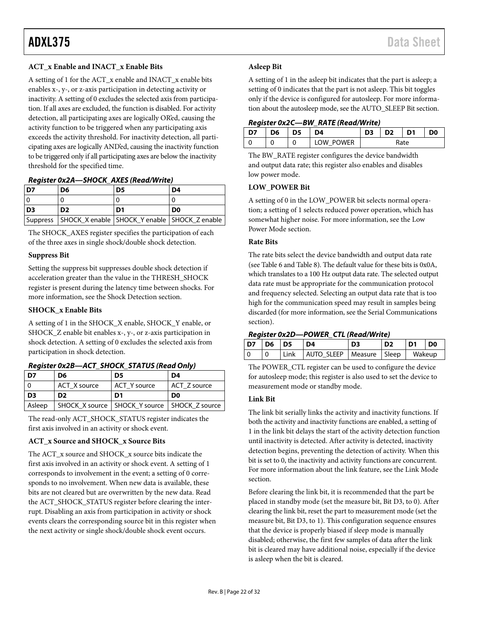### **ACT\_x Enable and INACT\_x Enable Bits**

A setting of 1 for the ACT\_x enable and INACT\_x enable bits enables x-, y-, or z-axis participation in detecting activity or inactivity. A setting of 0 excludes the selected axis from participation. If all axes are excluded, the function is disabled. For activity detection, all participating axes are logically OR'ed, causing the activity function to be triggered when any participating axis exceeds the activity threshold. For inactivity detection, all participating axes are logically AND'ed, causing the inactivity function to be triggered only if all participating axes are below the inactivity threshold for the specified time.

#### *Register 0x2A—SHOCK\_AXES (Read/Write)*

| D7             | D6                                                          | D5 | D4             |
|----------------|-------------------------------------------------------------|----|----------------|
|                |                                                             |    |                |
| D <sub>3</sub> | D <sub>2</sub>                                              | D1 | D <sub>0</sub> |
|                | Suppress   SHOCK_X enable   SHOCK_Y enable   SHOCK_Z enable |    |                |

The SHOCK\_AXES register specifies the participation of each of the three axes in single shock/double shock detection.

#### **Suppress Bit**

Setting the suppress bit suppresses double shock detection if acceleration greater than the value in the THRESH\_SHOCK register is present during the latency time between shocks. For more information, see the Shock [Detection](#page-25-3) section.

#### **SHOCK\_x Enable Bits**

A setting of 1 in the SHOCK\_X enable, SHOCK\_Y enable, or SHOCK\_Z enable bit enables x-, y-, or z-axis participation in shock detection. A setting of 0 excludes the selected axis from participation in shock detection.

| D7  | D6             | D5           | D4             |
|-----|----------------|--------------|----------------|
| - 0 | ACT X source   | ACT Y source | ACT Z source   |
|     |                |              |                |
| D3  | D <sub>2</sub> | D1           | D <sub>0</sub> |

#### *Register 0x2B—ACT\_SHOCK\_STATUS (Read Only)*

The read-only ACT\_SHOCK\_STATUS register indicates the first axis involved in an activity or shock event.

### **ACT\_x Source and SHOCK\_x Source Bits**

The ACT\_x source and SHOCK\_x source bits indicate the first axis involved in an activity or shock event. A setting of 1 corresponds to involvement in the event; a setting of 0 corresponds to no involvement. When new data is available, these bits are not cleared but are overwritten by the new data. Read the ACT\_SHOCK\_STATUS register before clearing the interrupt. Disabling an axis from participation in activity or shock events clears the corresponding source bit in this register when the next activity or single shock/double shock event occurs.

### **Asleep Bit**

A setting of 1 in the asleep bit indicates that the part is asleep; a setting of 0 indicates that the part is not asleep. This bit toggles only if the device is configured for autosleep. For more information about the autosleep mode, see th[e AUTO\\_SLEEP Bit](#page-22-0) section.

# *Register 0x2C—BW\_RATE (Read/Write)*

| D7 | D <sub>6</sub> | D5 | D4        | D3 | D <sub>2</sub> | D <sub>1</sub> | D <sub>0</sub> |
|----|----------------|----|-----------|----|----------------|----------------|----------------|
|    |                |    | LOW POWER |    | Rate           |                |                |

The BW\_RATE register configures the device bandwidth and output data rate; this register also enables and disables low power mode.

#### **LOW\_POWER Bit**

A setting of 0 in the LOW\_POWER bit selects normal operation; a setting of 1 selects reduced power operation, which has somewhat higher noise. For more information, see th[e Low](#page-10-4)  [Power](#page-10-4) Mode section.

#### **Rate Bits**

The rate bits select the device bandwidth and output data rate (se[e Table 6](#page-9-4) and [Table 8\)](#page-10-2). The default value for these bits is 0x0A, which translates to a 100 Hz output data rate. The selected output data rate must be appropriate for the communication protocol and frequency selected. Selecting an output data rate that is too high for the communication speed may result in samples being discarded (for more information, see th[e Serial Communications](#page-14-0) section).

### *Register 0x2D—POWER\_CTL (Read/Write)*

| <b>D7</b> | $\overline{D6}$ $\overline{D5}$ |      | D4                           | D <sub>3</sub> | D <sub>2</sub> | D <sub>1</sub> | D <sub>0</sub> |
|-----------|---------------------------------|------|------------------------------|----------------|----------------|----------------|----------------|
|           |                                 | Link | AUTO SLEEP   Measure   Sleep |                |                | Wakeup         |                |

The POWER\_CTL register can be used to configure the device for autosleep mode; this register is also used to set the device to measurement mode or standby mode.

#### <span id="page-21-0"></span>**Link Bit**

The link bit serially links the activity and inactivity functions. If both the activity and inactivity functions are enabled, a setting of 1 in the link bit delays the start of the activity detection function until inactivity is detected. After activity is detected, inactivity detection begins, preventing the detection of activity. When this bit is set to 0, the inactivity and activity functions are concurrent. For more information about the link feature, see the [Link Mode](#page-26-1) section.

Before clearing the link bit, it is recommended that the part be placed in standby mode (set the measure bit, Bit D3, to 0). After clearing the link bit, reset the part to measurement mode (set the measure bit, Bit D3, to 1). This configuration sequence ensures that the device is properly biased if sleep mode is manually disabled; otherwise, the first few samples of data after the link bit is cleared may have additional noise, especially if the device is asleep when the bit is cleared.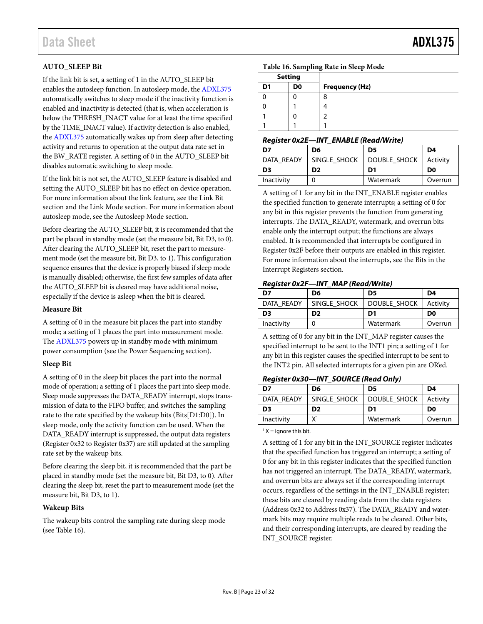# <span id="page-22-0"></span>**AUTO\_SLEEP Bit**

If the link bit is set, a setting of 1 in the AUTO\_SLEEP bit enables the autosleep function. In autosleep mode, th[e ADXL375](http://www.analog.com/ADXL375?doc=ADXL375.pdf) automatically switches to sleep mode if the inactivity function is enabled and inactivity is detected (that is, when acceleration is below the THRESH\_INACT value for at least the time specified by the TIME\_INACT value). If activity detection is also enabled, the [ADXL375](http://www.analog.com/ADXL375?doc=ADXL375.pdf) automatically wakes up from sleep after detecting activity and returns to operation at the output data rate set in the BW\_RATE register. A setting of 0 in the AUTO\_SLEEP bit disables automatic switching to sleep mode.

If the link bit is not set, the AUTO\_SLEEP feature is disabled and setting the AUTO\_SLEEP bit has no effect on device operation. For more information about the link feature, see the [Link Bit](#page-21-0) section and the [Link Mode](#page-26-1) section. For more information about autosleep mode, see th[e Autosleep Mode](#page-10-5) section.

Before clearing the AUTO\_SLEEP bit, it is recommended that the part be placed in standby mode (set the measure bit, Bit D3, to 0). After clearing the AUTO\_SLEEP bit, reset the part to measurement mode (set the measure bit, Bit D3, to 1). This configuration sequence ensures that the device is properly biased if sleep mode is manually disabled; otherwise, the first few samples of data after the AUTO\_SLEEP bit is cleared may have additional noise, especially if the device is asleep when the bit is cleared.

#### **Measure Bit**

A setting of 0 in the measure bit places the part into standby mode; a setting of 1 places the part into measurement mode. The [ADXL375](http://www.analog.com/ADXL375?doc=ADXL375.pdf) powers up in standby mode with minimum power consumption (see th[e Power Sequencing](#page-9-1) section).

#### **Sleep Bit**

A setting of 0 in the sleep bit places the part into the normal mode of operation; a setting of 1 places the part into sleep mode. Sleep mode suppresses the DATA\_READY interrupt, stops transmission of data to the FIFO buffer, and switches the sampling rate to the rate specified by the wakeup bits (Bits[D1:D0]). In sleep mode, only the activity function can be used. When the DATA\_READY interrupt is suppressed, the output data registers (Register 0x32 to Register 0x37) are still updated at the sampling rate set by the wakeup bits.

Before clearing the sleep bit, it is recommended that the part be placed in standby mode (set the measure bit, Bit D3, to 0). After clearing the sleep bit, reset the part to measurement mode (set the measure bit, Bit D3, to 1).

#### **Wakeup Bits**

The wakeup bits control the sampling rate during sleep mode (see [Table 16\)](#page-22-1).

<span id="page-22-1"></span>

|  | Table 16. Sampling Rate in Sleep Mode |  |  |  |
|--|---------------------------------------|--|--|--|
|--|---------------------------------------|--|--|--|

| <b>Setting</b> |                |                       |
|----------------|----------------|-----------------------|
| D <sub>1</sub> | D <sub>0</sub> | <b>Frequency (Hz)</b> |
|                |                | 8                     |
|                |                |                       |
|                |                |                       |
|                |                |                       |

#### *Register 0x2E—INT\_ENABLE (Read/Write)*

| D7         | D6             | D <sub>5</sub> | D4             |
|------------|----------------|----------------|----------------|
| DATA READY | SINGLE SHOCK   | DOUBLE SHOCK   | Activity       |
| D3         | D <sub>2</sub> | D1             | D <sub>0</sub> |
| Inactivity |                | Watermark      | Overrun        |

A setting of 1 for any bit in the INT\_ENABLE register enables the specified function to generate interrupts; a setting of 0 for any bit in this register prevents the function from generating interrupts. The DATA\_READY, watermark, and overrun bits enable only the interrupt output; the functions are always enabled. It is recommended that interrupts be configured in Register 0x2F before their outputs are enabled in this register. For more information about the interrupts, see th[e Bits in the](#page-12-3)  [Interrupt Registers](#page-12-3) section.

### *Register 0x2F—INT\_MAP (Read/Write)*

| D7             | D6             | D <sub>5</sub> | D4             |
|----------------|----------------|----------------|----------------|
| DATA READY     | SINGLE SHOCK   | DOUBLE SHOCK   | Activity       |
|                |                |                |                |
| D <sub>3</sub> | D <sub>2</sub> | D1             | D <sub>0</sub> |

A setting of 0 for any bit in the INT\_MAP register causes the specified interrupt to be sent to the INT1 pin; a setting of 1 for any bit in this register causes the specified interrupt to be sent to the INT2 pin. All selected interrupts for a given pin are OR'ed.

#### *Register 0x30—INT\_SOURCE (Read Only)*

| D7         | D6             | D <sub>5</sub> | D4             |
|------------|----------------|----------------|----------------|
| DATA READY | SINGLE SHOCK   | DOUBLE SHOCK   | Activity       |
| D3         | D <sub>2</sub> | D1             | D <sub>0</sub> |
| Inactivity | χ1             | Watermark      | Overrun        |

 $1 X =$  ignore this bit.

A setting of 1 for any bit in the INT\_SOURCE register indicates that the specified function has triggered an interrupt; a setting of 0 for any bit in this register indicates that the specified function has not triggered an interrupt. The DATA\_READY, watermark, and overrun bits are always set if the corresponding interrupt occurs, regardless of the settings in the INT\_ENABLE register; these bits are cleared by reading data from the data registers (Address 0x32 to Address 0x37). The DATA\_READY and watermark bits may require multiple reads to be cleared. Other bits, and their corresponding interrupts, are cleared by reading the INT\_SOURCE register.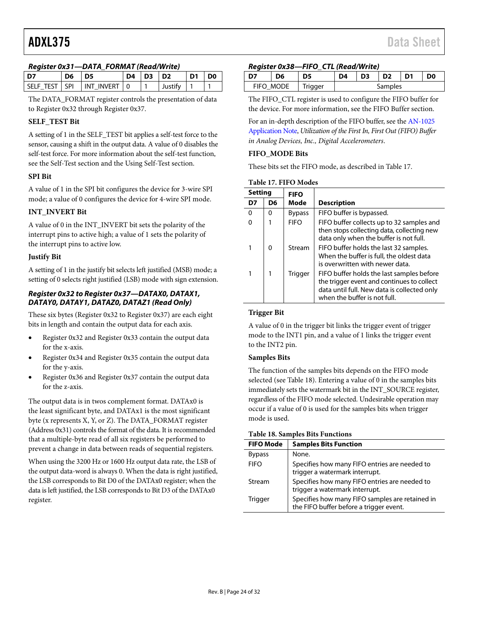### *Register 0x31—DATA\_FORMAT (Read/Write)*

|                 |    | $1.2913331$ $0.001$ $0.001111$ $0.0011111$ $0.0001$ $0.001111$ |  |                |                |  |    |
|-----------------|----|----------------------------------------------------------------|--|----------------|----------------|--|----|
| D7              | D6 | D5                                                             |  | $D4$ $D3$ $D2$ |                |  | D0 |
| SELF TEST I SPI |    | I INT INVERT I 0                                               |  |                | <b>Justify</b> |  |    |

The DATA\_FORMAT register controls the presentation of data to Register 0x32 through Register 0x37.

# **SELF\_TEST Bit**

A setting of 1 in the SELF\_TEST bit applies a self-test force to the sensor, causing a shift in the output data. A value of 0 disables the self-test force. For more information about the self-test function, see the [Self-Test](#page-11-0) section and th[e Using Self-Test](#page-28-0) section.

#### **SPI Bit**

A value of 1 in the SPI bit configures the device for 3-wire SPI mode; a value of 0 configures the device for 4-wire SPI mode.

#### **INT\_INVERT Bit**

A value of 0 in the INT\_INVERT bit sets the polarity of the interrupt pins to active high; a value of 1 sets the polarity of the interrupt pins to active low.

#### **Justify Bit**

A setting of 1 in the justify bit selects left justified (MSB) mode; a setting of 0 selects right justified (LSB) mode with sign extension.

#### *Register 0x32 to Register 0x37—DATAX0, DATAX1, DATAY0, DATAY1, DATAZ0, DATAZ1 (Read Only)*

These six bytes (Register 0x32 to Register 0x37) are each eight bits in length and contain the output data for each axis.

- Register 0x32 and Register 0x33 contain the output data for the x-axis.
- Register 0x34 and Register 0x35 contain the output data for the y-axis.
- Register 0x36 and Register 0x37 contain the output data for the z-axis.

The output data is in twos complement format. DATAx0 is the least significant byte, and DATAx1 is the most significant byte (x represents X, Y, or Z). The DATA\_FORMAT register (Address 0x31) controls the format of the data. It is recommended that a multiple-byte read of all six registers be performed to prevent a change in data between reads of sequential registers.

When using the 3200 Hz or 1600 Hz output data rate, the LSB of the output data-word is always 0. When the data is right justified, the LSB corresponds to Bit D0 of the DATAx0 register; when the data is left justified, the LSB corresponds to Bit D3 of the DATAx0 register.

#### *Register 0x38—FIFO\_CTL (Read/Write)*

|           | D6 | D5      | D4 | D <sub>3</sub> | D <sub>2</sub> | D <sub>1</sub> | D <sub>0</sub> |
|-----------|----|---------|----|----------------|----------------|----------------|----------------|
| FIFO MODE |    | Trigger |    | Samples        |                |                |                |

The FIFO\_CTL register is used to configure the FIFO buffer for the device. For more information, see the FIFO [Buffer](#page-10-1) section.

For an in-depth description of the FIFO buffer, see th[e AN-1025](http://www.analog.com/AN-1025?doc=ADXL375.pdf)  [Application Note,](http://www.analog.com/AN-1025?doc=ADXL375.pdf) *Utilization of the First In, First Out (FIFO) Buffer in Analog Devices, Inc., Digital Accelerometers*.

#### **FIFO\_MODE Bits**

These bits set the FIFO mode, as described i[n Table 17.](#page-23-0)

<span id="page-23-0"></span>

| <b>Setting</b> |    | <b>FIFO</b>    |                                                                                                                                                                        |
|----------------|----|----------------|------------------------------------------------------------------------------------------------------------------------------------------------------------------------|
| D7             | D6 | Mode           | <b>Description</b>                                                                                                                                                     |
| O              | O  | <b>Bypass</b>  | FIFO buffer is bypassed.                                                                                                                                               |
|                |    | <b>FIFO</b>    | FIFO buffer collects up to 32 samples and<br>then stops collecting data, collecting new<br>data only when the buffer is not full.                                      |
|                | O  | Stream         | FIFO buffer holds the last 32 samples.<br>When the buffer is full, the oldest data<br>is overwritten with newer data.                                                  |
|                |    | <b>Trigger</b> | FIFO buffer holds the last samples before<br>the trigger event and continues to collect<br>data until full. New data is collected only<br>when the buffer is not full. |

#### **Trigger Bit**

A value of 0 in the trigger bit links the trigger event of trigger mode to the INT1 pin, and a value of 1 links the trigger event to the INT2 pin.

#### **Samples Bits**

The function of the samples bits depends on the FIFO mode selected (se[e Table 18\)](#page-23-1). Entering a value of 0 in the samples bits immediately sets the watermark bit in the INT\_SOURCE register, regardless of the FIFO mode selected. Undesirable operation may occur if a value of 0 is used for the samples bits when trigger mode is used.

#### <span id="page-23-1"></span>**Table 18. Samples Bits Functions**

| <b>FIFO Mode</b> | <b>Samples Bits Function</b>                                                               |
|------------------|--------------------------------------------------------------------------------------------|
| <b>Bypass</b>    | None.                                                                                      |
| <b>FIFO</b>      | Specifies how many FIFO entries are needed to<br>trigger a watermark interrupt.            |
| Stream           | Specifies how many FIFO entries are needed to<br>trigger a watermark interrupt.            |
| <b>Trigger</b>   | Specifies how many FIFO samples are retained in<br>the FIFO buffer before a trigger event. |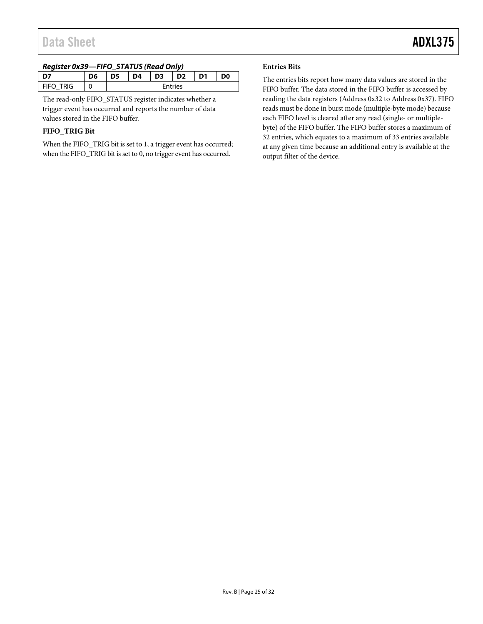### *Register 0x39—FIFO\_STATUS (Read Only)*

| -----<br>_____ |    |    |    |                |                |                |                |
|----------------|----|----|----|----------------|----------------|----------------|----------------|
|                | D6 | D5 | D4 | D <sub>3</sub> | D <sub>2</sub> | D <sub>1</sub> | D <sub>0</sub> |
| FIFO TRIG      |    |    |    |                | <b>Entries</b> |                |                |

The read-only FIFO\_STATUS register indicates whether a trigger event has occurred and reports the number of data values stored in the FIFO buffer.

# **FIFO\_TRIG Bit**

When the FIFO\_TRIG bit is set to 1, a trigger event has occurred; when the FIFO\_TRIG bit is set to 0, no trigger event has occurred.

#### **Entries Bits**

The entries bits report how many data values are stored in the FIFO buffer. The data stored in the FIFO buffer is accessed by reading the data registers (Address 0x32 to Address 0x37). FIFO reads must be done in burst mode (multiple-byte mode) because each FIFO level is cleared after any read (single- or multiplebyte) of the FIFO buffer. The FIFO buffer stores a maximum of 32 entries, which equates to a maximum of 33 entries available at any given time because an additional entry is available at the output filter of the device.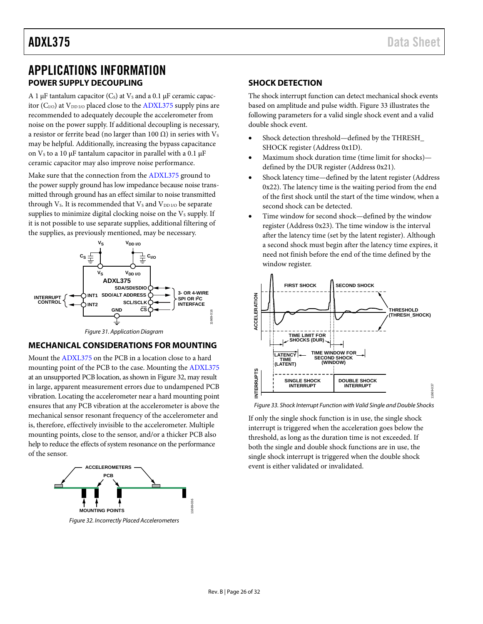# <span id="page-25-0"></span>APPLICATIONS INFORMATION **POWER SUPPLY DECOUPLING**

<span id="page-25-1"></span>A 1  $\mu$ F tantalum capacitor (C<sub>s</sub>) at V<sub>s</sub> and a 0.1  $\mu$ F ceramic capacitor  $(C_{I/O})$  at  $V_{DD I/O}$  placed close to the [ADXL375](http://www.analog.com/ADXL375?doc=ADXL375.pdf) supply pins are recommended to adequately decouple the accelerometer from noise on the power supply. If additional decoupling is necessary, a resistor or ferrite bead (no larger than 100  $Ω$ ) in series with Vs may be helpful. Additionally, increasing the bypass capacitance on  $V_s$  to a 10  $\mu$ F tantalum capacitor in parallel with a 0.1  $\mu$ F ceramic capacitor may also improve noise performance.

Make sure that the connection from th[e ADXL375](http://www.analog.com/ADXL375?doc=ADXL375.pdf) ground to the power supply ground has low impedance because noise transmitted through ground has an effect similar to noise transmitted through V<sub>s</sub>. It is recommended that V<sub>s</sub> and V<sub>DD I/O</sub> be separate supplies to minimize digital clocking noise on the  $V<sub>S</sub>$  supply. If it is not possible to use separate supplies, additional filtering of the supplies, as previously mentioned, may be necessary.



*Figure 31. Application Diagram*

# <span id="page-25-2"></span>**MECHANICAL CONSIDERATIONS FOR MOUNTING**

Mount th[e ADXL375](http://www.analog.com/ADXL375?doc=ADXL375.pdf) on the PCB in a location close to a hard mounting point of the PCB to the case. Mounting the [ADXL375](http://www.analog.com/ADXL375?doc=ADXL375.pdf) at an unsupported PCB location, as shown in [Figure 32,](#page-25-4) may result in large, apparent measurement errors due to undampened PCB vibration. Locating the accelerometer near a hard mounting point ensures that any PCB vibration at the accelerometer is above the mechanical sensor resonant frequency of the accelerometer and is, therefore, effectively invisible to the accelerometer. Multiple mounting points, close to the sensor, and/or a thicker PCB also help to reduce the effects of system resonance on the performance of the sensor.



<span id="page-25-4"></span>*Figure 32. Incorrectly Placed Accelerometers*

### <span id="page-25-3"></span>**SHOCK DETECTION**

The shock interrupt function can detect mechanical shock events based on amplitude and pulse width. [Figure 33](#page-25-5) illustrates the following parameters for a valid single shock event and a valid double shock event.

- Shock detection threshold—defined by the THRESH\_ SHOCK register (Address 0x1D).
- Maximum shock duration time (time limit for shocks) defined by the DUR register (Address 0x21).
- Shock latency time—defined by the latent register (Address 0x22). The latency time is the waiting period from the end of the first shock until the start of the time window, when a second shock can be detected.
- Time window for second shock—defined by the window register (Address 0x23). The time window is the interval after the latency time (set by the latent register). Although a second shock must begin after the latency time expires, it need not finish before the end of the time defined by the window register.



<span id="page-25-5"></span>*Figure 33. Shock Interrupt Function with Valid Single and Double Shocks*

If only the single shock function is in use, the single shock interrupt is triggered when the acceleration goes below the threshold, as long as the duration time is not exceeded. If both the single and double shock functions are in use, the single shock interrupt is triggered when the double shock event is either validated or invalidated.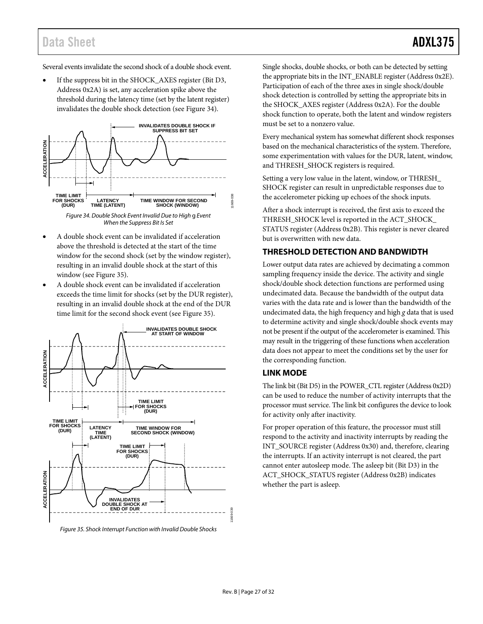# Data Sheet **ADXL375**

Several events invalidate the second shock of a double shock event.

If the suppress bit in the SHOCK\_AXES register (Bit D3, Address 0x2A) is set, any acceleration spike above the threshold during the latency time (set by the latent register) invalidates the double shock detection (see [Figure 34\)](#page-26-2).



*When the Suppress Bit Is Set*

- <span id="page-26-2"></span>• A double shock event can be invalidated if acceleration above the threshold is detected at the start of the time window for the second shock (set by the window register), resulting in an invalid double shock at the start of this window (see [Figure 35\)](#page-26-3).
- A double shock event can be invalidated if acceleration exceeds the time limit for shocks (set by the DUR register), resulting in an invalid double shock at the end of the DUR time limit for the second shock event (see [Figure 35\)](#page-26-3).



<span id="page-26-3"></span>*Figure 35. Shock Interrupt Function with Invalid Double Shocks*

Single shocks, double shocks, or both can be detected by setting the appropriate bits in the INT\_ENABLE register (Address 0x2E). Participation of each of the three axes in single shock/double shock detection is controlled by setting the appropriate bits in the SHOCK\_AXES register (Address 0x2A). For the double shock function to operate, both the latent and window registers must be set to a nonzero value.

Every mechanical system has somewhat different shock responses based on the mechanical characteristics of the system. Therefore, some experimentation with values for the DUR, latent, window, and THRESH\_SHOCK registers is required.

Setting a very low value in the latent, window, or THRESH\_ SHOCK register can result in unpredictable responses due to the accelerometer picking up echoes of the shock inputs.

After a shock interrupt is received, the first axis to exceed the THRESH\_SHOCK level is reported in the ACT\_SHOCK\_ STATUS register (Address 0x2B). This register is never cleared but is overwritten with new data.

# <span id="page-26-0"></span>**THRESHOLD DETECTION AND BANDWIDTH**

Lower output data rates are achieved by decimating a common sampling frequency inside the device. The activity and single shock/double shock detection functions are performed using undecimated data. Because the bandwidth of the output data varies with the data rate and is lower than the bandwidth of the undecimated data, the high frequency and high *g* data that is used to determine activity and single shock/double shock events may not be present if the output of the accelerometer is examined. This may result in the triggering of these functions when acceleration data does not appear to meet the conditions set by the user for the corresponding function.

# <span id="page-26-1"></span>**LINK MODE**

The link bit (Bit D5) in the POWER\_CTL register (Address 0x2D) can be used to reduce the number of activity interrupts that the processor must service. The link bit configures the device to look for activity only after inactivity.

For proper operation of this feature, the processor must still respond to the activity and inactivity interrupts by reading the INT\_SOURCE register (Address 0x30) and, therefore, clearing the interrupts. If an activity interrupt is not cleared, the part cannot enter autosleep mode. The asleep bit (Bit D3) in the ACT\_SHOCK\_STATUS register (Address 0x2B) indicates whether the part is asleep.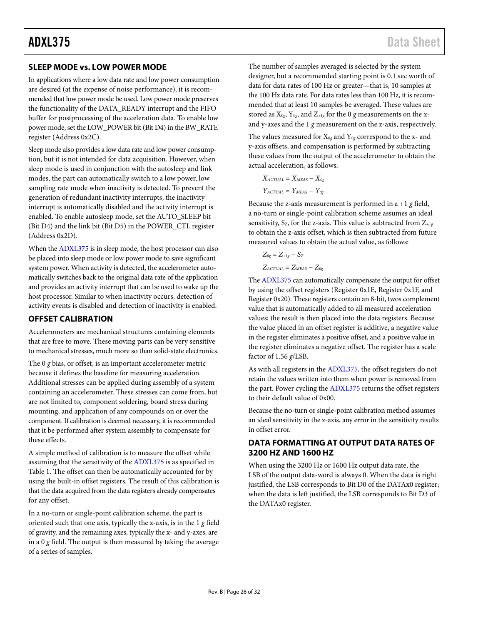# <span id="page-27-0"></span>**SLEEP MODE vs. LOW POWER MODE**

In applications where a low data rate and low power consumption are desired (at the expense of noise performance), it is recommended that low power mode be used. Low power mode preserves the functionality of the DATA\_READY interrupt and the FIFO buffer for postprocessing of the acceleration data. To enable low power mode, set the LOW\_POWER bit (Bit D4) in the BW\_RATE register (Address 0x2C).

Sleep mode also provides a low data rate and low power consumption, but it is not intended for data acquisition. However, when sleep mode is used in conjunction with the autosleep and link modes, the part can automatically switch to a low power, low sampling rate mode when inactivity is detected. To prevent the generation of redundant inactivity interrupts, the inactivity interrupt is automatically disabled and the activity interrupt is enabled. To enable autosleep mode, set the AUTO\_SLEEP bit (Bit D4) and the link bit (Bit D5) in the POWER\_CTL register (Address 0x2D).

When the [ADXL375](http://www.analog.com/ADXL375?doc=ADXL375.pdf) is in sleep mode, the host processor can also be placed into sleep mode or low power mode to save significant system power. When activity is detected, the accelerometer automatically switches back to the original data rate of the application and provides an activity interrupt that can be used to wake up the host processor. Similar to when inactivity occurs, detection of activity events is disabled and detection of inactivity is enabled.

# <span id="page-27-1"></span>**OFFSET CALIBRATION**

Accelerometers are mechanical structures containing elements that are free to move. These moving parts can be very sensitive to mechanical stresses, much more so than solid-state electronics.

The 0 *g* bias, or offset, is an important accelerometer metric because it defines the baseline for measuring acceleration. Additional stresses can be applied during assembly of a system containing an accelerometer. These stresses can come from, but are not limited to, component soldering, board stress during mounting, and application of any compounds on or over the component. If calibration is deemed necessary, it is recommended that it be performed after system assembly to compensate for these effects.

A simple method of calibration is to measure the offset while assuming that the sensitivity of th[e ADXL375](http://www.analog.com/ADXL375?doc=ADXL375.pdf) is as specified in [Table 1.](#page-2-1) The offset can then be automatically accounted for by using the built-in offset registers. The result of this calibration is that the data acquired from the data registers already compensates for any offset.

In a no-turn or single-point calibration scheme, the part is oriented such that one axis, typically the z-axis, is in the 1 *g* field of gravity, and the remaining axes, typically the x- and y-axes, are in a 0 *g* field. The output is then measured by taking the average of a series of samples.

ADXL375 Data Sheet

The number of samples averaged is selected by the system designer, but a recommended starting point is 0.1 sec worth of data for data rates of 100 Hz or greater—that is, 10 samples at the 100 Hz data rate. For data rates less than 100 Hz, it is recommended that at least 10 samples be averaged. These values are stored as  $X_{0g}$ ,  $Y_{0g}$ , and  $Z_{+1g}$  for the 0 *g* measurements on the xand y-axes and the 1 *g* measurement on the z-axis, respectively.

The values measured for  $X_{0g}$  and  $Y_{0g}$  correspond to the x- and y-axis offsets, and compensation is performed by subtracting these values from the output of the accelerometer to obtain the actual acceleration, as follows:

$$
X_{ACTUAL} = X_{MEAS} - X_{0g}
$$

$$
Y_{ACTUAL} = Y_{MEAS} - Y_{0g}
$$

Because the z-axis measurement is performed in a +1 *g* field, a no-turn or single-point calibration scheme assumes an ideal sensitivity,  $S_{Z}$ , for the z-axis. This value is subtracted from  $Z_{+1g}$ to obtain the z-axis offset, which is then subtracted from future measured values to obtain the actual value, as follows:

$$
Z_{0g} = Z_{+1g} - S_Z
$$
  
Zacitual = Zmeas - Z<sub>0g</sub>

Th[e ADXL375](http://www.analog.com/ADXL375?doc=ADXL375.pdf) can automatically compensate the output for offset by using the offset registers (Register 0x1E, Register 0x1F, and Register 0x20). These registers contain an 8-bit, twos complement value that is automatically added to all measured acceleration values; the result is then placed into the data registers. Because the value placed in an offset register is additive, a negative value in the register eliminates a positive offset, and a positive value in the register eliminates a negative offset. The register has a scale factor of 1.56 *g*/LSB.

As with all registers in th[e ADXL375,](http://www.analog.com/ADXL375?doc=ADXL375.pdf) the offset registers do not retain the values written into them when power is removed from the part. Power cycling the [ADXL375](http://www.analog.com/ADXL375?doc=ADXL375.pdf) returns the offset registers to their default value of 0x00.

Because the no-turn or single-point calibration method assumes an ideal sensitivity in the z-axis, any error in the sensitivity results in offset error.

# <span id="page-27-2"></span>**DATA FORMATTING AT OUTPUT DATA RATES OF 3200 HZ AND 1600 HZ**

When using the 3200 Hz or 1600 Hz output data rate, the LSB of the output data-word is always 0. When the data is right justified, the LSB corresponds to Bit D0 of the DATAx0 register; when the data is left justified, the LSB corresponds to Bit D3 of the DATAx0 register.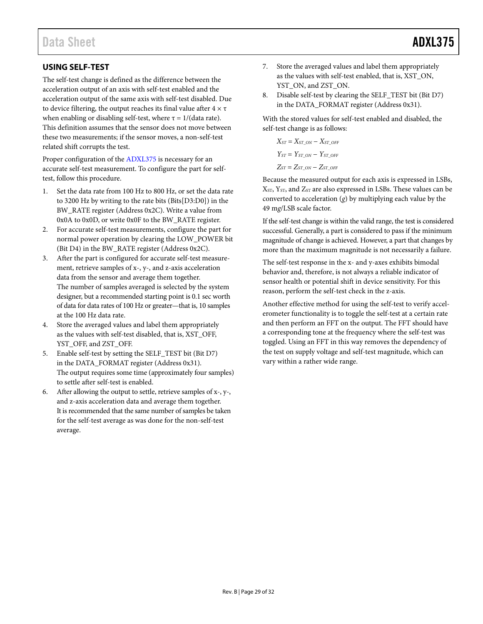# <span id="page-28-0"></span>**USING SELF-TEST**

The self-test change is defined as the difference between the acceleration output of an axis with self-test enabled and the acceleration output of the same axis with self-test disabled. Due to device filtering, the output reaches its final value after  $4 \times \tau$ when enabling or disabling self-test, where  $\tau = 1/(\text{data rate})$ . This definition assumes that the sensor does not move between these two measurements; if the sensor moves, a non-self-test related shift corrupts the test.

Proper configuration of the [ADXL375](http://www.analog.com/ADXL375?doc=ADXL375.pdf) is necessary for an accurate self-test measurement. To configure the part for selftest, follow this procedure.

- 1. Set the data rate from 100 Hz to 800 Hz, or set the data rate to 3200 Hz by writing to the rate bits (Bits[D3:D0]) in the BW\_RATE register (Address 0x2C). Write a value from 0x0A to 0x0D, or write 0x0F to the BW\_RATE register.
- 2. For accurate self-test measurements, configure the part for normal power operation by clearing the LOW\_POWER bit (Bit D4) in the BW\_RATE register (Address 0x2C).
- 3. After the part is configured for accurate self-test measurement, retrieve samples of x-, y-, and z-axis acceleration data from the sensor and average them together. The number of samples averaged is selected by the system designer, but a recommended starting point is 0.1 sec worth of data for data rates of 100 Hz or greater—that is, 10 samples at the 100 Hz data rate.
- 4. Store the averaged values and label them appropriately as the values with self-test disabled, that is, XST\_OFF, YST\_OFF, and ZST\_OFF.
- 5. Enable self-test by setting the SELF\_TEST bit (Bit D7) in the DATA\_FORMAT register (Address 0x31). The output requires some time (approximately four samples) to settle after self-test is enabled.
- 6. After allowing the output to settle, retrieve samples of  $x$ -,  $y$ -, and z-axis acceleration data and average them together. It is recommended that the same number of samples be taken for the self-test average as was done for the non-self-test average.
- 7. Store the averaged values and label them appropriately as the values with self-test enabled, that is, XST\_ON, YST\_ON, and ZST\_ON.
- 8. Disable self-test by clearing the SELF\_TEST bit (Bit D7) in the DATA\_FORMAT register (Address 0x31).

With the stored values for self-test enabled and disabled, the self-test change is as follows:

$$
X_{ST} = X_{ST\_ON} - X_{ST\_OFF}
$$
  
\n
$$
Y_{ST} = Y_{ST\_ON} - Y_{ST\_OFF}
$$
  
\n
$$
Z_{ST} = Z_{ST\_ON} - Z_{ST\_OFF}
$$

Because the measured output for each axis is expressed in LSBs,  $X<sub>ST</sub>$ ,  $Y<sub>ST</sub>$ , and  $Z<sub>ST</sub>$  are also expressed in LSBs. These values can be converted to acceleration  $(g)$  by multiplying each value by the 49 m*g*/LSB scale factor.

If the self-test change is within the valid range, the test is considered successful. Generally, a part is considered to pass if the minimum magnitude of change is achieved. However, a part that changes by more than the maximum magnitude is not necessarily a failure.

The self-test response in the x- and y-axes exhibits bimodal behavior and, therefore, is not always a reliable indicator of sensor health or potential shift in device sensitivity. For this reason, perform the self-test check in the z-axis.

Another effective method for using the self-test to verify accelerometer functionality is to toggle the self-test at a certain rate and then perform an FFT on the output. The FFT should have a corresponding tone at the frequency where the self-test was toggled. Using an FFT in this way removes the dependency of the test on supply voltage and self-test magnitude, which can vary within a rather wide range.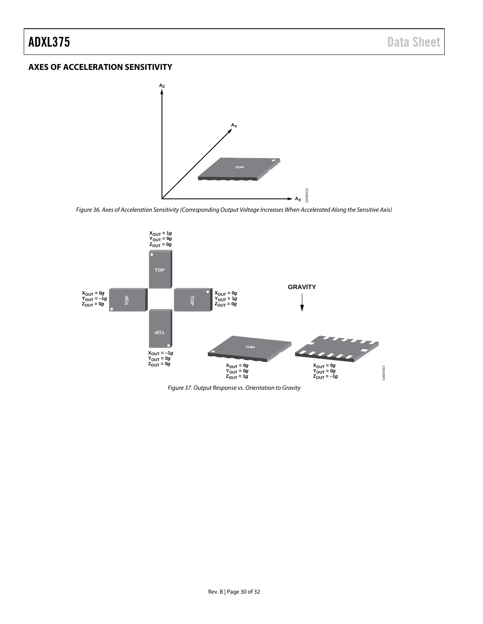# <span id="page-29-0"></span>**AXES OF ACCELERATION SENSITIVITY**



*Figure 36. Axes of Acceleration Sensitivity (Corresponding Output Voltage Increases When Accelerated Along the Sensitive Axis)*

11669-021



*Figure 37. Output Response vs. Orientation to Gravity*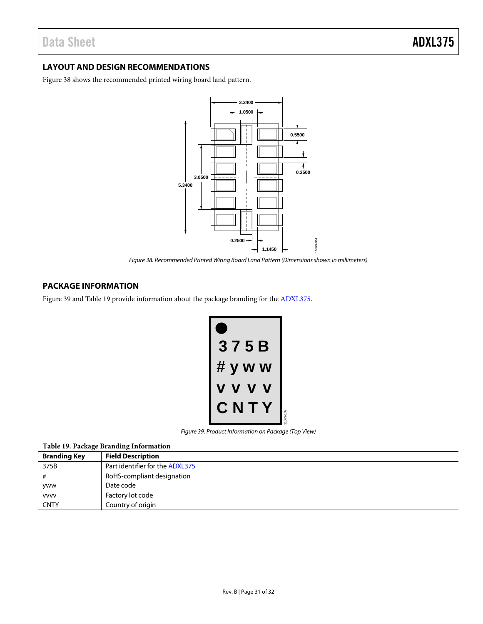# <span id="page-30-0"></span>**LAYOUT AND DESIGN RECOMMENDATIONS**

[Figure 38](#page-30-2) shows the recommended printed wiring board land pattern.



*Figure 38. Recommended Printed Wiring Board Land Pattern (Dimensions shown in millimeters)*

# <span id="page-30-2"></span><span id="page-30-1"></span>**PACKAGE INFORMATION**

[Figure 39](#page-30-3) an[d Table 19](#page-30-4) provide information about the package branding for th[e ADXL375.](http://www.analog.com/ADXL375?doc=ADXL375.pdf)

| 75B<br>3     |          |
|--------------|----------|
| # y w<br>W   |          |
| J            |          |
| N<br>T<br>C, | 1669-102 |

*Figure 39. Product Information on Package (Top View)*

<span id="page-30-4"></span><span id="page-30-3"></span>

|  |  |  | Table 19. Package Branding Information |
|--|--|--|----------------------------------------|
|--|--|--|----------------------------------------|

| <b>Branding Key</b> | <b>Field Description</b>        |
|---------------------|---------------------------------|
| 375B                | Part identifier for the ADXL375 |
|                     | RoHS-compliant designation      |
| yww                 | Date code                       |
| <b>VVVV</b>         | Factory lot code                |
| <b>CNTY</b>         | Country of origin               |